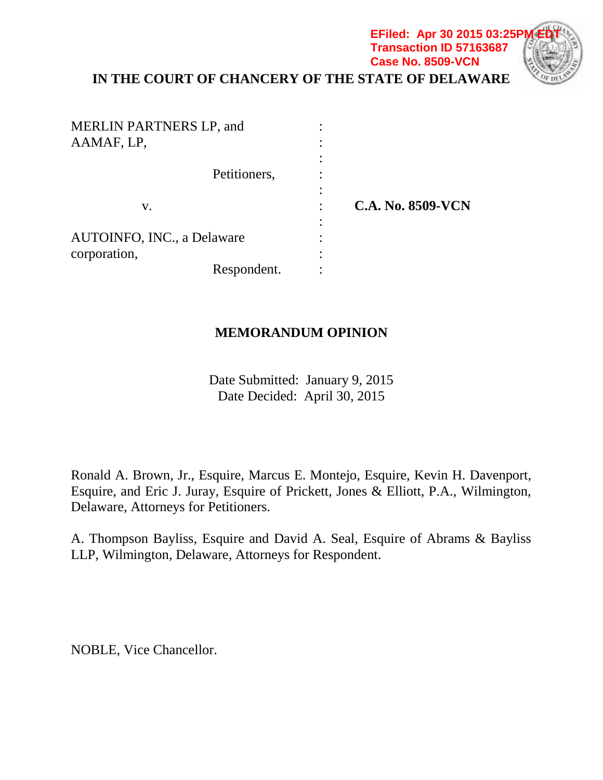## **IN THE COURT OF CHANCERY OF THE STATE OF DELAWARE EFiled: Apr 30 2015 03:25P Transaction ID 57163687 Case No. 8509-VCN**

| <b>MERLIN PARTNERS LP, and</b><br>AAMAF, LP, |                          |
|----------------------------------------------|--------------------------|
| Petitioners,                                 |                          |
| V.                                           | <b>C.A. No. 8509-VCN</b> |
|                                              |                          |
| AUTOINFO, INC., a Delaware                   |                          |
| corporation,                                 |                          |
| Respondent.                                  |                          |

# **MEMORANDUM OPINION**

Date Submitted: January 9, 2015 Date Decided: April 30, 2015

Ronald A. Brown, Jr., Esquire, Marcus E. Montejo, Esquire, Kevin H. Davenport, Esquire, and Eric J. Juray, Esquire of Prickett, Jones & Elliott, P.A., Wilmington, Delaware, Attorneys for Petitioners.

A. Thompson Bayliss, Esquire and David A. Seal, Esquire of Abrams & Bayliss LLP, Wilmington, Delaware, Attorneys for Respondent.

NOBLE, Vice Chancellor.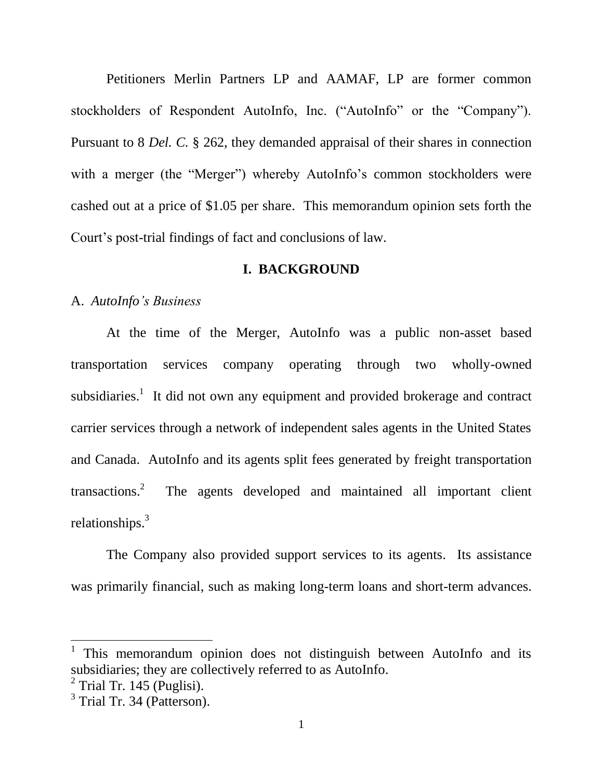Petitioners Merlin Partners LP and AAMAF, LP are former common stockholders of Respondent AutoInfo, Inc. ("AutoInfo" or the "Company"). Pursuant to 8 *Del. C.* § 262, they demanded appraisal of their shares in connection with a merger (the "Merger") whereby AutoInfo's common stockholders were cashed out at a price of \$1.05 per share. This memorandum opinion sets forth the Court's post-trial findings of fact and conclusions of law.

### **I. BACKGROUND**

#### A. *AutoInfo's Business*

At the time of the Merger, AutoInfo was a public non-asset based transportation services company operating through two wholly-owned subsidiaries.<sup>1</sup> It did not own any equipment and provided brokerage and contract carrier services through a network of independent sales agents in the United States and Canada. AutoInfo and its agents split fees generated by freight transportation transactions. 2 The agents developed and maintained all important client relationships.<sup>3</sup>

The Company also provided support services to its agents. Its assistance was primarily financial, such as making long-term loans and short-term advances.

<sup>1</sup> This memorandum opinion does not distinguish between AutoInfo and its subsidiaries; they are collectively referred to as AutoInfo.

 $2$  Trial Tr. 145 (Puglisi).

<sup>&</sup>lt;sup>3</sup> Trial Tr. 34 (Patterson).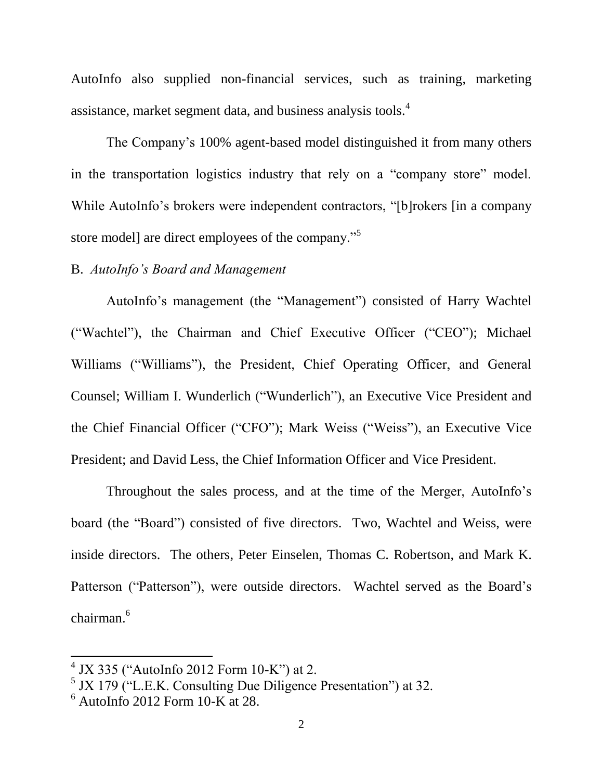AutoInfo also supplied non-financial services, such as training, marketing assistance, market segment data, and business analysis tools.<sup>4</sup>

The Company's 100% agent-based model distinguished it from many others in the transportation logistics industry that rely on a "company store" model. While AutoInfo's brokers were independent contractors, "[b]rokers [in a company store model] are direct employees of the company."<sup>5</sup>

#### B. *AutoInfo's Board and Management*

AutoInfo's management (the "Management") consisted of Harry Wachtel ("Wachtel"), the Chairman and Chief Executive Officer ("CEO"); Michael Williams ("Williams"), the President, Chief Operating Officer, and General Counsel; William I. Wunderlich ("Wunderlich"), an Executive Vice President and the Chief Financial Officer ("CFO"); Mark Weiss ("Weiss"), an Executive Vice President; and David Less, the Chief Information Officer and Vice President.

Throughout the sales process, and at the time of the Merger, AutoInfo's board (the "Board") consisted of five directors. Two, Wachtel and Weiss, were inside directors. The others, Peter Einselen, Thomas C. Robertson, and Mark K. Patterson ("Patterson"), were outside directors. Wachtel served as the Board's chairman. 6

 $4$  JX 335 ("AutoInfo 2012 Form 10-K") at 2.

<sup>&</sup>lt;sup>5</sup> JX 179 ("L.E.K. Consulting Due Diligence Presentation") at 32.

 $6$  AutoInfo 2012 Form 10-K at 28.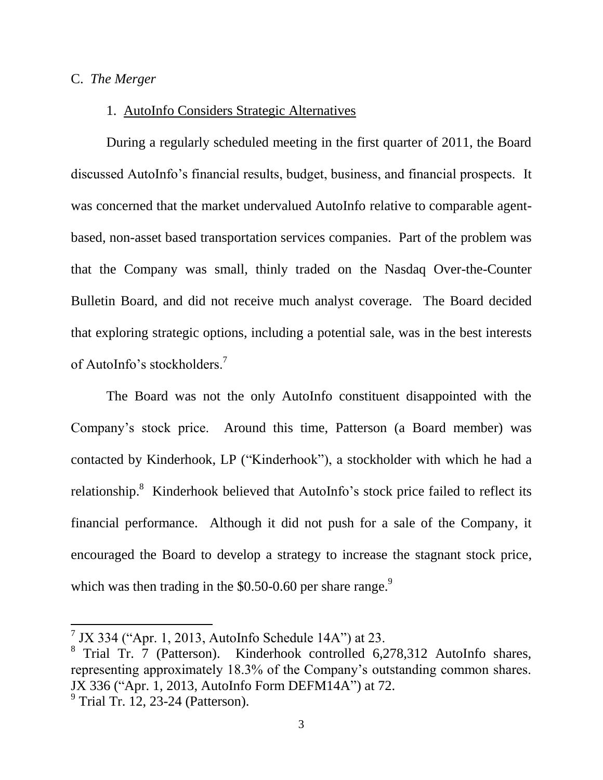### C. *The Merger*

## 1. AutoInfo Considers Strategic Alternatives

During a regularly scheduled meeting in the first quarter of 2011, the Board discussed AutoInfo's financial results, budget, business, and financial prospects. It was concerned that the market undervalued AutoInfo relative to comparable agentbased, non-asset based transportation services companies. Part of the problem was that the Company was small, thinly traded on the Nasdaq Over-the-Counter Bulletin Board, and did not receive much analyst coverage. The Board decided that exploring strategic options, including a potential sale, was in the best interests of AutoInfo's stockholders.<sup>7</sup>

The Board was not the only AutoInfo constituent disappointed with the Company's stock price. Around this time, Patterson (a Board member) was contacted by Kinderhook, LP ("Kinderhook"), a stockholder with which he had a relationship.<sup>8</sup> Kinderhook believed that AutoInfo's stock price failed to reflect its financial performance. Although it did not push for a sale of the Company, it encouraged the Board to develop a strategy to increase the stagnant stock price, which was then trading in the \$0.50-0.60 per share range. $9$ 

 $7$  JX 334 ("Apr. 1, 2013, AutoInfo Schedule 14A") at 23.

<sup>&</sup>lt;sup>8</sup> Trial Tr. 7 (Patterson). Kinderhook controlled 6,278,312 AutoInfo shares, representing approximately 18.3% of the Company's outstanding common shares. JX 336 ("Apr. 1, 2013, AutoInfo Form DEFM14A") at 72.

 $9$  Trial Tr. 12, 23-24 (Patterson).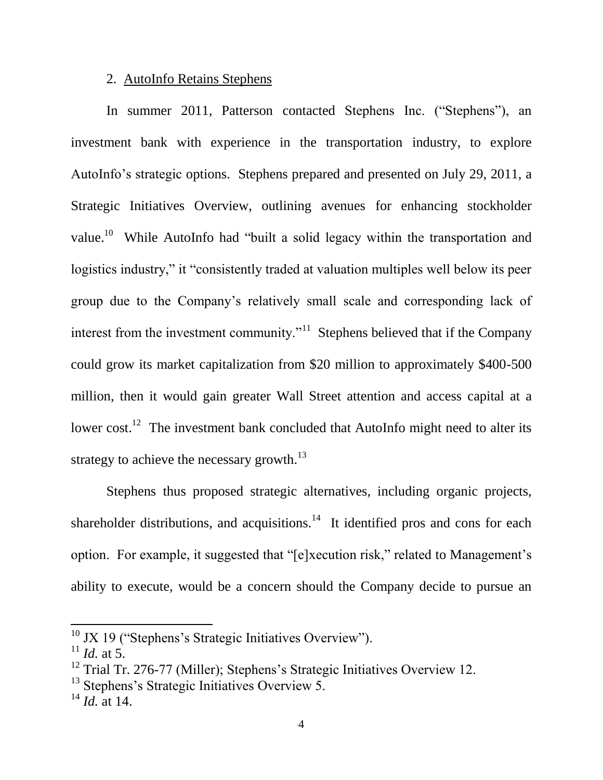## 2. AutoInfo Retains Stephens

In summer 2011, Patterson contacted Stephens Inc. ("Stephens"), an investment bank with experience in the transportation industry, to explore AutoInfo's strategic options. Stephens prepared and presented on July 29, 2011, a Strategic Initiatives Overview, outlining avenues for enhancing stockholder value.<sup>10</sup> While AutoInfo had "built a solid legacy within the transportation and logistics industry," it "consistently traded at valuation multiples well below its peer group due to the Company's relatively small scale and corresponding lack of interest from the investment community. $11$  Stephens believed that if the Company could grow its market capitalization from \$20 million to approximately \$400-500 million, then it would gain greater Wall Street attention and access capital at a lower cost.<sup>12</sup> The investment bank concluded that AutoInfo might need to alter its strategy to achieve the necessary growth.<sup>13</sup>

Stephens thus proposed strategic alternatives, including organic projects, shareholder distributions, and acquisitions. $14$  It identified pros and cons for each option. For example, it suggested that "[e]xecution risk," related to Management's ability to execute, would be a concern should the Company decide to pursue an

 $10$  JX 19 ("Stephens's Strategic Initiatives Overview").

 $11$  *Id.* at 5.

<sup>&</sup>lt;sup>12</sup> Trial Tr. 276-77 (Miller); Stephens's Strategic Initiatives Overview 12.

 $13$  Stephens's Strategic Initiatives Overview 5.

<sup>14</sup> *Id.* at 14.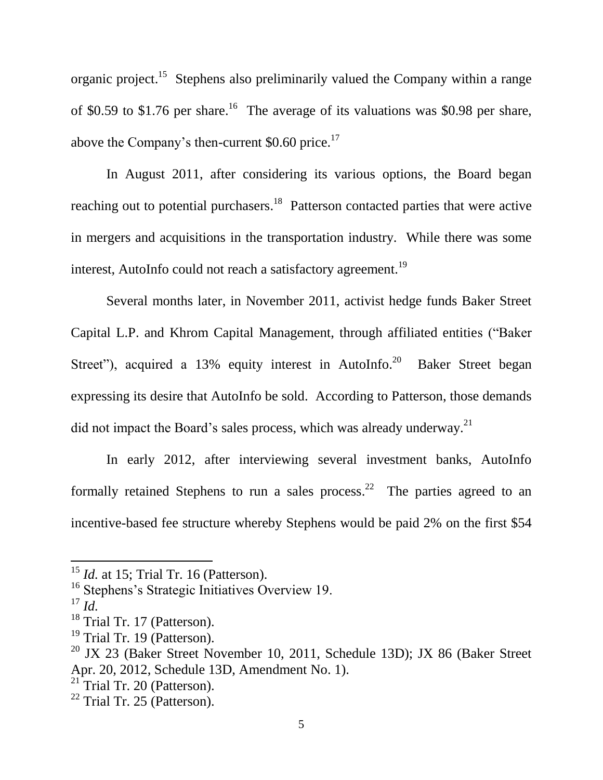organic project.<sup>15</sup> Stephens also preliminarily valued the Company within a range of \$0.59 to \$1.76 per share.<sup>16</sup> The average of its valuations was \$0.98 per share, above the Company's then-current  $$0.60$  price.<sup>17</sup>

In August 2011, after considering its various options, the Board began reaching out to potential purchasers.<sup>18</sup> Patterson contacted parties that were active in mergers and acquisitions in the transportation industry. While there was some interest, AutoInfo could not reach a satisfactory agreement.<sup>19</sup>

Several months later, in November 2011, activist hedge funds Baker Street Capital L.P. and Khrom Capital Management, through affiliated entities ("Baker Street"), acquired a  $13\%$  equity interest in AutoInfo.<sup>20</sup> Baker Street began expressing its desire that AutoInfo be sold. According to Patterson, those demands did not impact the Board's sales process, which was already underway.<sup>21</sup>

In early 2012, after interviewing several investment banks, AutoInfo formally retained Stephens to run a sales process.<sup>22</sup> The parties agreed to an incentive-based fee structure whereby Stephens would be paid 2% on the first \$54

<sup>&</sup>lt;sup>15</sup> *Id.* at 15; Trial Tr. 16 (Patterson).

<sup>&</sup>lt;sup>16</sup> Stephens's Strategic Initiatives Overview 19.

 $^{17}$  *Id.* 

<sup>&</sup>lt;sup>18</sup> Trial Tr. 17 (Patterson).

<sup>&</sup>lt;sup>19</sup> Trial Tr. 19 (Patterson).

<sup>&</sup>lt;sup>20</sup> JX 23 (Baker Street November 10, 2011, Schedule 13D); JX 86 (Baker Street Apr. 20, 2012, Schedule 13D, Amendment No. 1).

 $21$  Trial Tr. 20 (Patterson).

 $22$  Trial Tr. 25 (Patterson).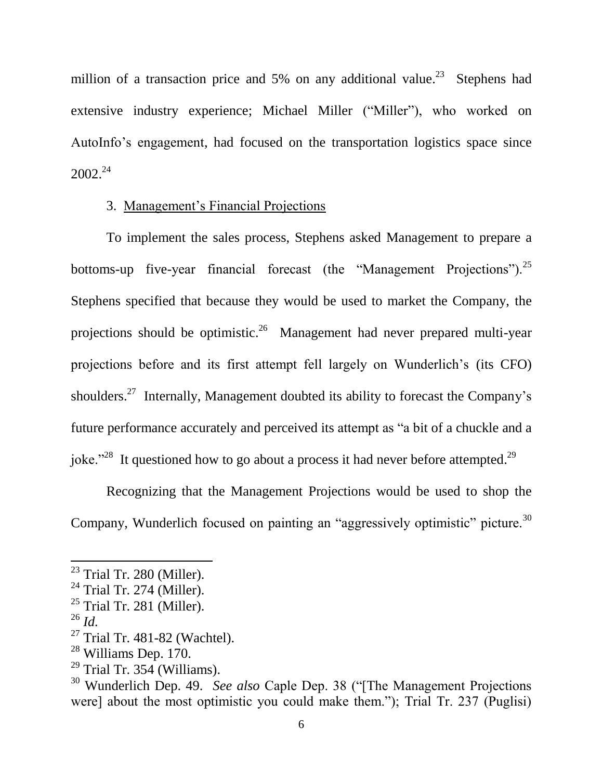million of a transaction price and 5% on any additional value.<sup>23</sup> Stephens had extensive industry experience; Michael Miller ("Miller"), who worked on AutoInfo's engagement, had focused on the transportation logistics space since 2002. 24

# 3. Management's Financial Projections

To implement the sales process, Stephens asked Management to prepare a bottoms-up five-year financial forecast (the "Management Projections").<sup>25</sup> Stephens specified that because they would be used to market the Company, the projections should be optimistic.<sup>26</sup> Management had never prepared multi-year projections before and its first attempt fell largely on Wunderlich's (its CFO) shoulders.<sup>27</sup> Internally, Management doubted its ability to forecast the Company's future performance accurately and perceived its attempt as "a bit of a chuckle and a joke."<sup>28</sup> It questioned how to go about a process it had never before attempted.<sup>29</sup>

Recognizing that the Management Projections would be used to shop the Company, Wunderlich focused on painting an "aggressively optimistic" picture.<sup>30</sup>

 $23$  Trial Tr. 280 (Miller).

 $24$  Trial Tr. 274 (Miller).

 $25$  Trial Tr. 281 (Miller).

 $^{26}$  *Id.* 

 $27$  Trial Tr. 481-82 (Wachtel).

<sup>28</sup> Williams Dep. 170.

 $29$  Trial Tr. 354 (Williams).

<sup>30</sup> Wunderlich Dep. 49. *See also* Caple Dep. 38 ("[The Management Projections were] about the most optimistic you could make them."); Trial Tr. 237 (Puglisi)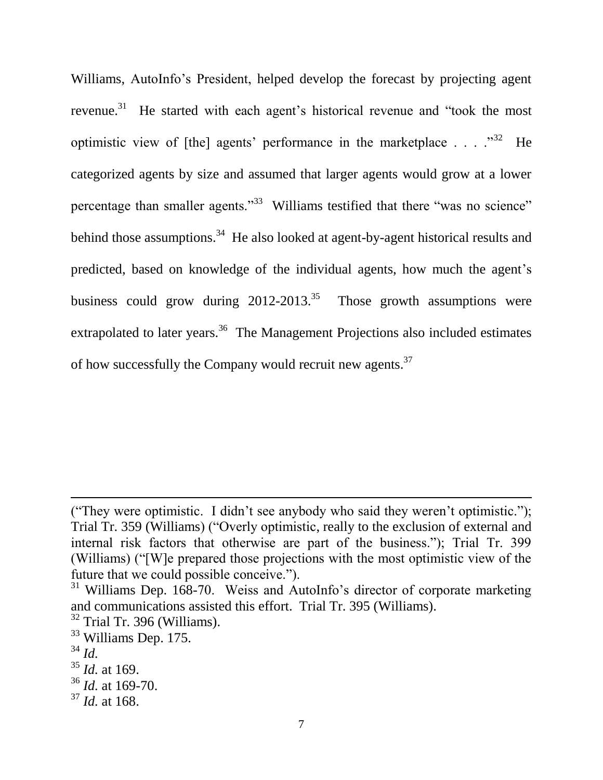Williams, AutoInfo's President, helped develop the forecast by projecting agent revenue.<sup>31</sup> He started with each agent's historical revenue and "took the most optimistic view of [the] agents' performance in the marketplace  $\dots$   $\cdot$   $\cdot$   $\cdot$  He categorized agents by size and assumed that larger agents would grow at a lower percentage than smaller agents."<sup>33</sup> Williams testified that there "was no science" behind those assumptions.<sup>34</sup> He also looked at agent-by-agent historical results and predicted, based on knowledge of the individual agents, how much the agent's business could grow during  $2012-2013^{35}$  Those growth assumptions were extrapolated to later years.<sup>36</sup> The Management Projections also included estimates of how successfully the Company would recruit new agents.<sup>37</sup>

 $\overline{a}$ 

<sup>(&</sup>quot;They were optimistic. I didn't see anybody who said they weren't optimistic."); Trial Tr. 359 (Williams) ("Overly optimistic, really to the exclusion of external and internal risk factors that otherwise are part of the business."); Trial Tr. 399 (Williams) ("[W]e prepared those projections with the most optimistic view of the future that we could possible conceive.").

 $31$  Williams Dep. 168-70. Weiss and AutoInfo's director of corporate marketing and communications assisted this effort. Trial Tr. 395 (Williams).

 $32$  Trial Tr. 396 (Williams).

<sup>33</sup> Williams Dep. 175.

<sup>34</sup> *Id.*

<sup>35</sup> *Id.* at 169.

<sup>36</sup> *Id.* at 169-70.

<sup>37</sup> *Id.* at 168.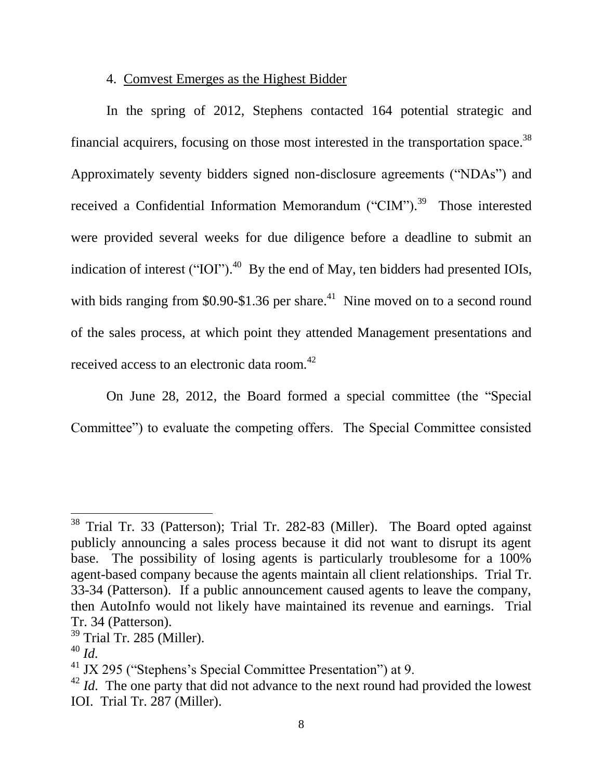# 4. Comvest Emerges as the Highest Bidder

In the spring of 2012, Stephens contacted 164 potential strategic and financial acquirers, focusing on those most interested in the transportation space.<sup>38</sup> Approximately seventy bidders signed non-disclosure agreements ("NDAs") and received a Confidential Information Memorandum ("CIM").<sup>39</sup> Those interested were provided several weeks for due diligence before a deadline to submit an indication of interest ("IOI").<sup>40</sup> By the end of May, ten bidders had presented IOIs, with bids ranging from  $$0.90-\$1.36$  per share.<sup>41</sup> Nine moved on to a second round of the sales process, at which point they attended Management presentations and received access to an electronic data room. 42

On June 28, 2012, the Board formed a special committee (the "Special Committee") to evaluate the competing offers. The Special Committee consisted

 $\overline{a}$ 

 $38$  Trial Tr. 33 (Patterson); Trial Tr. 282-83 (Miller). The Board opted against publicly announcing a sales process because it did not want to disrupt its agent base. The possibility of losing agents is particularly troublesome for a 100% agent-based company because the agents maintain all client relationships. Trial Tr. 33-34 (Patterson). If a public announcement caused agents to leave the company, then AutoInfo would not likely have maintained its revenue and earnings. Trial Tr. 34 (Patterson).

<sup>&</sup>lt;sup>39</sup> Trial Tr. 285 (Miller).

<sup>40</sup> *Id.*

<sup>41</sup> JX 295 ("Stephens's Special Committee Presentation") at 9.

<sup>&</sup>lt;sup>42</sup> *Id.* The one party that did not advance to the next round had provided the lowest IOI. Trial Tr. 287 (Miller).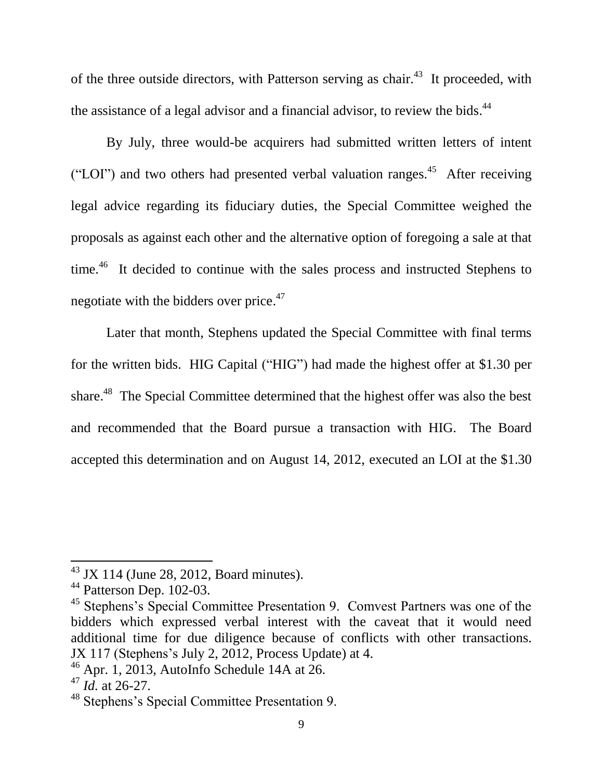of the three outside directors, with Patterson serving as chair.<sup>43</sup> It proceeded, with the assistance of a legal advisor and a financial advisor, to review the bids.<sup>44</sup>

By July, three would-be acquirers had submitted written letters of intent ("LOI") and two others had presented verbal valuation ranges.<sup>45</sup> After receiving legal advice regarding its fiduciary duties, the Special Committee weighed the proposals as against each other and the alternative option of foregoing a sale at that time.<sup>46</sup> It decided to continue with the sales process and instructed Stephens to negotiate with the bidders over price.<sup>47</sup>

Later that month, Stephens updated the Special Committee with final terms for the written bids. HIG Capital ("HIG") had made the highest offer at \$1.30 per share.<sup>48</sup> The Special Committee determined that the highest offer was also the best and recommended that the Board pursue a transaction with HIG. The Board accepted this determination and on August 14, 2012, executed an LOI at the \$1.30

 $43$  JX 114 (June 28, 2012, Board minutes).

<sup>&</sup>lt;sup>44</sup> Patterson Dep. 102-03.

<sup>&</sup>lt;sup>45</sup> Stephens's Special Committee Presentation 9. Comvest Partners was one of the bidders which expressed verbal interest with the caveat that it would need additional time for due diligence because of conflicts with other transactions. JX 117 (Stephens's July 2, 2012, Process Update) at 4.

 $46$  Apr. 1, 2013, AutoInfo Schedule 14A at 26.

 $47$  *Id.* at 26-27.

<sup>48</sup> Stephens's Special Committee Presentation 9.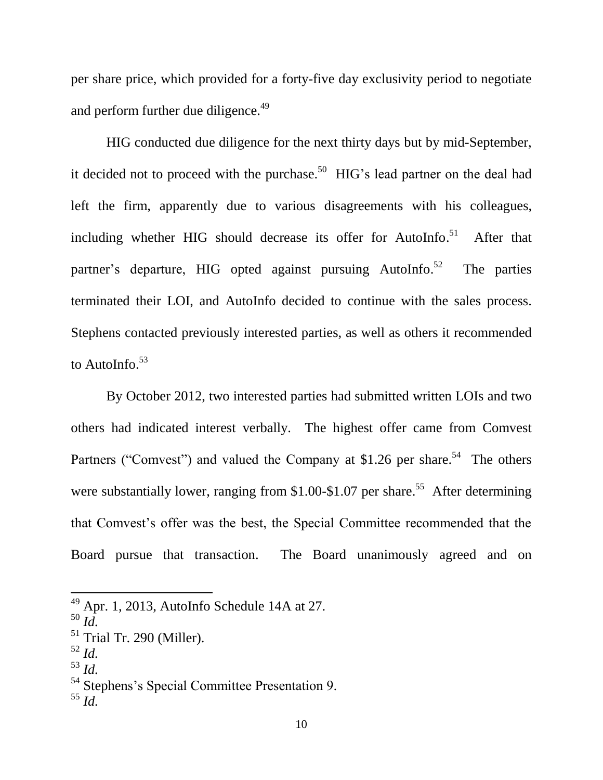per share price, which provided for a forty-five day exclusivity period to negotiate and perform further due diligence.<sup>49</sup>

HIG conducted due diligence for the next thirty days but by mid-September, it decided not to proceed with the purchase.<sup>50</sup> HIG's lead partner on the deal had left the firm, apparently due to various disagreements with his colleagues, including whether HIG should decrease its offer for AutoInfo.<sup>51</sup> After that partner's departure, HIG opted against pursuing AutoInfo.<sup>52</sup> The parties terminated their LOI, and AutoInfo decided to continue with the sales process. Stephens contacted previously interested parties, as well as others it recommended to AutoInfo.<sup>53</sup>

By October 2012, two interested parties had submitted written LOIs and two others had indicated interest verbally. The highest offer came from Comvest Partners ("Comvest") and valued the Company at \$1.26 per share.<sup>54</sup> The others were substantially lower, ranging from \$1.00-\$1.07 per share.<sup>55</sup> After determining that Comvest's offer was the best, the Special Committee recommended that the Board pursue that transaction. The Board unanimously agreed and on

- <sup>52</sup> *Id.*
- <sup>53</sup> *Id.*

 $49$  Apr. 1, 2013, AutoInfo Schedule 14A at 27.

<sup>50</sup> *Id.*

 $51$  Trial Tr. 290 (Miller).

<sup>54</sup> Stephens's Special Committee Presentation 9.

<sup>55</sup> *Id.*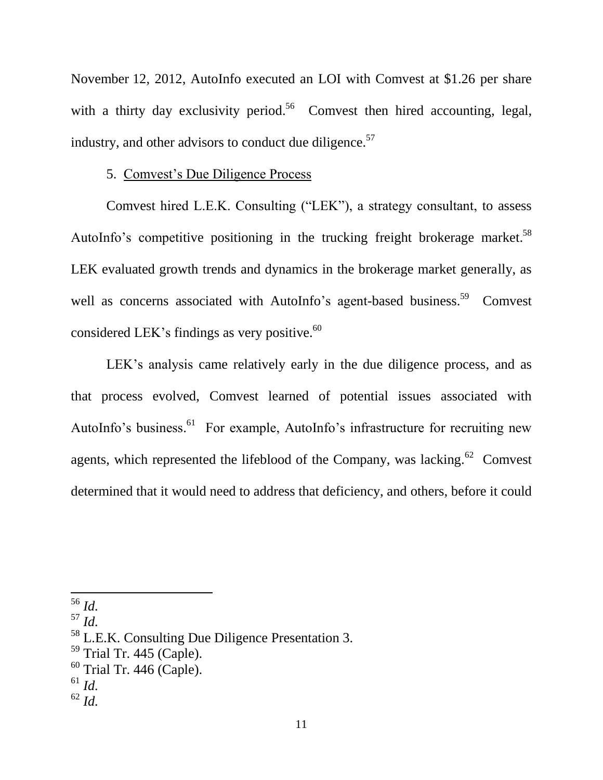November 12, 2012, AutoInfo executed an LOI with Comvest at \$1.26 per share with a thirty day exclusivity period.<sup>56</sup> Comvest then hired accounting, legal, industry, and other advisors to conduct due diligence.<sup>57</sup>

### 5. Comvest's Due Diligence Process

Comvest hired L.E.K. Consulting ("LEK"), a strategy consultant, to assess AutoInfo's competitive positioning in the trucking freight brokerage market.<sup>58</sup> LEK evaluated growth trends and dynamics in the brokerage market generally, as well as concerns associated with AutoInfo's agent-based business.<sup>59</sup> Comvest considered LEK's findings as very positive. $^{60}$ 

LEK's analysis came relatively early in the due diligence process, and as that process evolved, Comvest learned of potential issues associated with AutoInfo's business.<sup>61</sup> For example, AutoInfo's infrastructure for recruiting new agents, which represented the lifeblood of the Company, was lacking.  $62$  Comvest determined that it would need to address that deficiency, and others, before it could

<sup>56</sup> *Id.*

<sup>57</sup> *Id.*

<sup>58</sup> L.E.K. Consulting Due Diligence Presentation 3.

 $59$  Trial Tr. 445 (Caple).

 $60$  Trial Tr. 446 (Caple).

<sup>61</sup> *Id.*

<sup>62</sup> *Id.*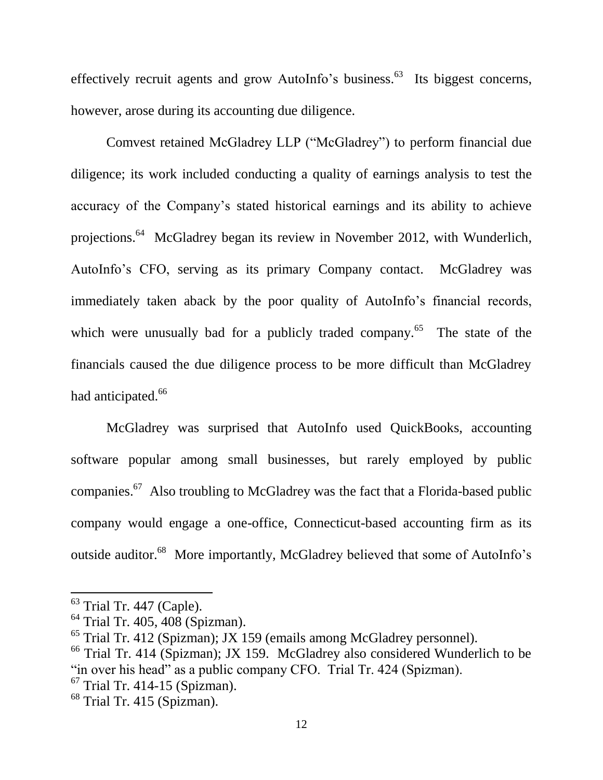effectively recruit agents and grow AutoInfo's business.<sup>63</sup> Its biggest concerns, however, arose during its accounting due diligence.

Comvest retained McGladrey LLP ("McGladrey") to perform financial due diligence; its work included conducting a quality of earnings analysis to test the accuracy of the Company's stated historical earnings and its ability to achieve projections.<sup>64</sup> McGladrey began its review in November 2012, with Wunderlich, AutoInfo's CFO, serving as its primary Company contact. McGladrey was immediately taken aback by the poor quality of AutoInfo's financial records, which were unusually bad for a publicly traded company.<sup>65</sup> The state of the financials caused the due diligence process to be more difficult than McGladrey had anticipated.<sup>66</sup>

McGladrey was surprised that AutoInfo used QuickBooks, accounting software popular among small businesses, but rarely employed by public companies.<sup>67</sup> Also troubling to McGladrey was the fact that a Florida-based public company would engage a one-office, Connecticut-based accounting firm as its outside auditor.<sup>68</sup> More importantly, McGladrey believed that some of AutoInfo's

 $<sup>63</sup>$  Trial Tr. 447 (Caple).</sup>

<sup>&</sup>lt;sup>64</sup> Trial Tr. 405, 408 (Spizman).

 $65$  Trial Tr. 412 (Spizman); JX 159 (emails among McGladrey personnel).

<sup>&</sup>lt;sup>66</sup> Trial Tr. 414 (Spizman); JX 159. McGladrey also considered Wunderlich to be "in over his head" as a public company CFO. Trial Tr. 424 (Spizman).

 $67$  Trial Tr. 414-15 (Spizman).

 $68$  Trial Tr. 415 (Spizman).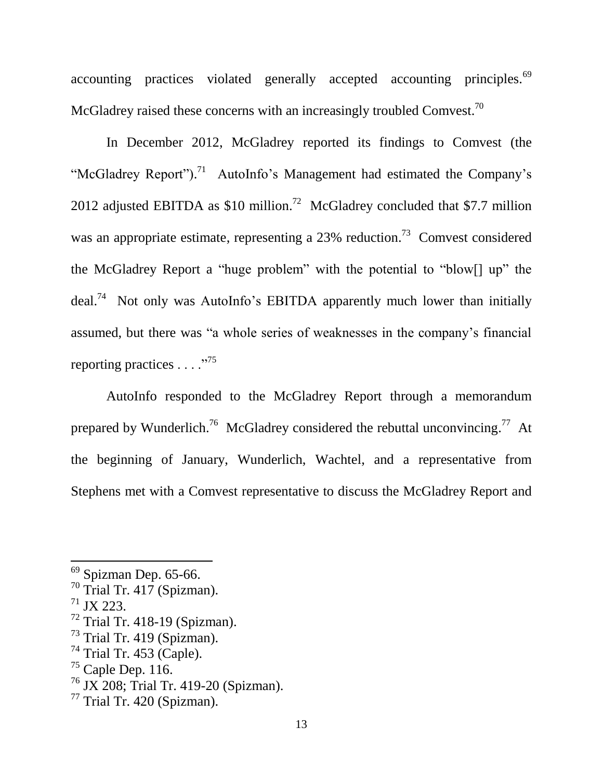accounting practices violated generally accepted accounting principles.<sup>69</sup> McGladrey raised these concerns with an increasingly troubled Comvest.<sup>70</sup>

In December 2012, McGladrey reported its findings to Comvest (the "McGladrey Report").<sup>71</sup> AutoInfo's Management had estimated the Company's 2012 adjusted EBITDA as \$10 million.<sup>72</sup> McGladrey concluded that \$7.7 million was an appropriate estimate, representing a  $23%$  reduction.<sup>73</sup> Comvest considered the McGladrey Report a "huge problem" with the potential to "blow[] up" the deal.<sup>74</sup> Not only was AutoInfo's EBITDA apparently much lower than initially assumed, but there was "a whole series of weaknesses in the company's financial reporting practices . . . ."<sup>75</sup>

AutoInfo responded to the McGladrey Report through a memorandum prepared by Wunderlich.<sup>76</sup> McGladrey considered the rebuttal unconvincing.<sup>77</sup> At the beginning of January, Wunderlich, Wachtel, and a representative from Stephens met with a Comvest representative to discuss the McGladrey Report and

 $69$  Spizman Dep. 65-66.

 $^{70}$  Trial Tr. 417 (Spizman).

 $^{71}$  JX 223.

 $72$  Trial Tr. 418-19 (Spizman).

 $73$  Trial Tr. 419 (Spizman).

 $74$  Trial Tr. 453 (Caple).

 $75$  Caple Dep. 116.

<sup>76</sup> JX 208; Trial Tr. 419-20 (Spizman).

 $77$  Trial Tr. 420 (Spizman).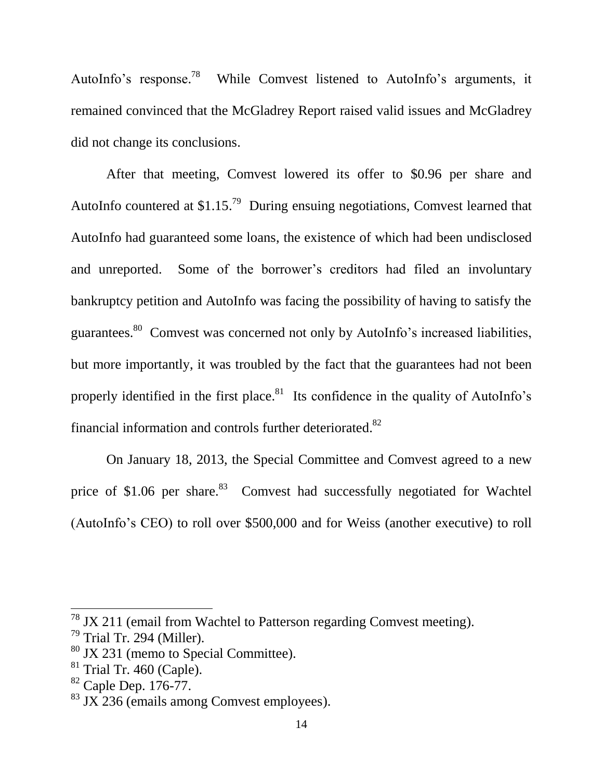AutoInfo's response.<sup>78</sup> While Comvest listened to AutoInfo's arguments, it remained convinced that the McGladrey Report raised valid issues and McGladrey did not change its conclusions.

After that meeting, Comvest lowered its offer to \$0.96 per share and AutoInfo countered at  $$1.15<sup>79</sup>$  During ensuing negotiations, Comvest learned that AutoInfo had guaranteed some loans, the existence of which had been undisclosed and unreported. Some of the borrower's creditors had filed an involuntary bankruptcy petition and AutoInfo was facing the possibility of having to satisfy the guarantees.<sup>80</sup> Comvest was concerned not only by AutoInfo's increased liabilities, but more importantly, it was troubled by the fact that the guarantees had not been properly identified in the first place.<sup>81</sup> Its confidence in the quality of AutoInfo's financial information and controls further deteriorated.<sup>82</sup>

On January 18, 2013, the Special Committee and Comvest agreed to a new price of \$1.06 per share.<sup>83</sup> Comvest had successfully negotiated for Wachtel (AutoInfo's CEO) to roll over \$500,000 and for Weiss (another executive) to roll

 $78$  JX 211 (email from Wachtel to Patterson regarding Comvest meeting).

 $79$  Trial Tr. 294 (Miller).

<sup>80</sup> JX 231 (memo to Special Committee).

 $81$  Trial Tr. 460 (Caple).

 $82$  Caple Dep. 176-77.

 $83$  JX 236 (emails among Comvest employees).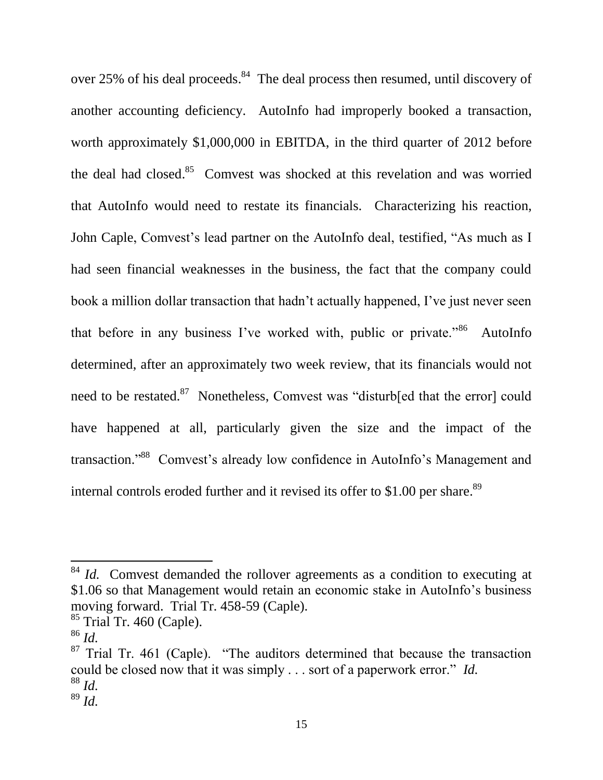over 25% of his deal proceeds.<sup>84</sup> The deal process then resumed, until discovery of another accounting deficiency. AutoInfo had improperly booked a transaction, worth approximately \$1,000,000 in EBITDA, in the third quarter of 2012 before the deal had closed.<sup>85</sup> Comvest was shocked at this revelation and was worried that AutoInfo would need to restate its financials. Characterizing his reaction, John Caple, Comvest's lead partner on the AutoInfo deal, testified, "As much as I had seen financial weaknesses in the business, the fact that the company could book a million dollar transaction that hadn't actually happened, I've just never seen that before in any business I've worked with, public or private."<sup>86</sup> AutoInfo determined, after an approximately two week review, that its financials would not need to be restated.<sup>87</sup> Nonetheless, Comvest was "disturb<sup>[ed that the error] could</sup> have happened at all, particularly given the size and the impact of the transaction."<sup>88</sup> Comvest's already low confidence in AutoInfo's Management and internal controls eroded further and it revised its offer to \$1.00 per share.<sup>89</sup>

<sup>&</sup>lt;sup>84</sup> *Id.* Comvest demanded the rollover agreements as a condition to executing at \$1.06 so that Management would retain an economic stake in AutoInfo's business moving forward. Trial Tr. 458-59 (Caple).

 $85$  Trial Tr. 460 (Caple).

<sup>86</sup> *Id.*

 $87$  Trial Tr. 461 (Caple). "The auditors determined that because the transaction could be closed now that it was simply . . . sort of a paperwork error." *Id.* <sup>88</sup> *Id.* <sup>89</sup> *Id.*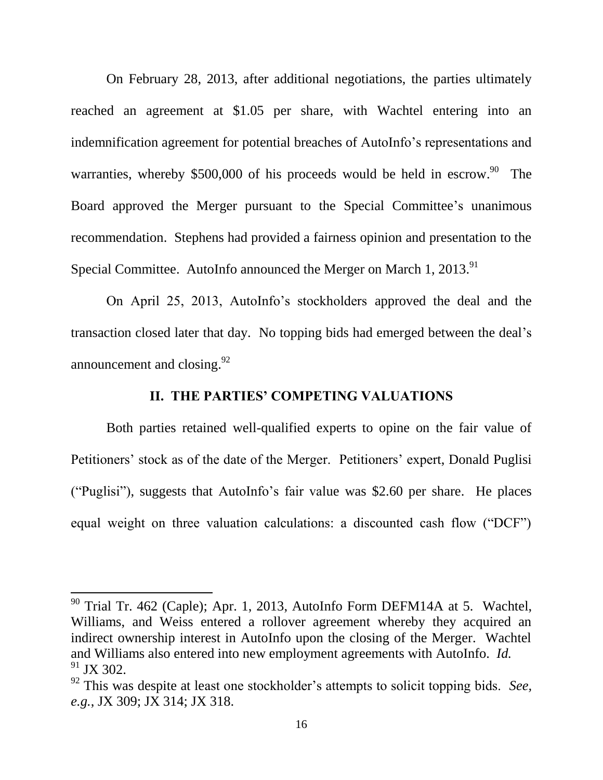On February 28, 2013, after additional negotiations, the parties ultimately reached an agreement at \$1.05 per share, with Wachtel entering into an indemnification agreement for potential breaches of AutoInfo's representations and warranties, whereby \$500,000 of his proceeds would be held in escrow.<sup>90</sup> The Board approved the Merger pursuant to the Special Committee's unanimous recommendation. Stephens had provided a fairness opinion and presentation to the Special Committee. AutoInfo announced the Merger on March 1, 2013.<sup>91</sup>

On April 25, 2013, AutoInfo's stockholders approved the deal and the transaction closed later that day. No topping bids had emerged between the deal's announcement and closing. $92$ 

# **II. THE PARTIES' COMPETING VALUATIONS**

Both parties retained well-qualified experts to opine on the fair value of Petitioners' stock as of the date of the Merger. Petitioners' expert, Donald Puglisi ("Puglisi"), suggests that AutoInfo's fair value was \$2.60 per share. He places equal weight on three valuation calculations: a discounted cash flow ("DCF")

<sup>&</sup>lt;sup>90</sup> Trial Tr. 462 (Caple); Apr. 1, 2013, AutoInfo Form DEFM14A at 5. Wachtel, Williams, and Weiss entered a rollover agreement whereby they acquired an indirect ownership interest in AutoInfo upon the closing of the Merger. Wachtel and Williams also entered into new employment agreements with AutoInfo. *Id.*  $91$  JX 302.

<sup>92</sup> This was despite at least one stockholder's attempts to solicit topping bids. *See, e.g.*, JX 309; JX 314; JX 318.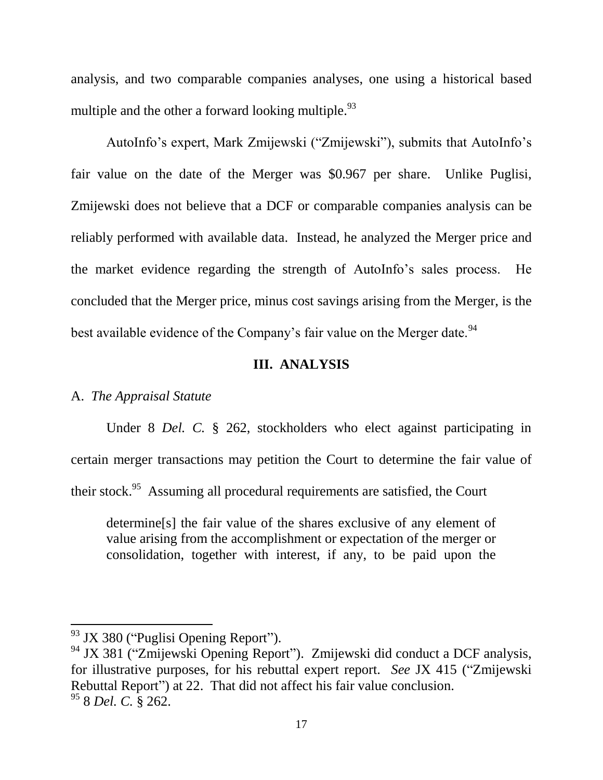analysis, and two comparable companies analyses, one using a historical based multiple and the other a forward looking multiple.  $93$ 

AutoInfo's expert, Mark Zmijewski ("Zmijewski"), submits that AutoInfo's fair value on the date of the Merger was \$0.967 per share. Unlike Puglisi, Zmijewski does not believe that a DCF or comparable companies analysis can be reliably performed with available data. Instead, he analyzed the Merger price and the market evidence regarding the strength of AutoInfo's sales process. He concluded that the Merger price, minus cost savings arising from the Merger, is the best available evidence of the Company's fair value on the Merger date.<sup>94</sup>

## **III. ANALYSIS**

## A. *The Appraisal Statute*

Under 8 *Del. C.* § 262, stockholders who elect against participating in certain merger transactions may petition the Court to determine the fair value of their stock.<sup>95</sup> Assuming all procedural requirements are satisfied, the Court

determine[s] the fair value of the shares exclusive of any element of value arising from the accomplishment or expectation of the merger or consolidation, together with interest, if any, to be paid upon the

<sup>&</sup>lt;sup>93</sup> JX 380 ("Puglisi Opening Report").

<sup>94</sup> JX 381 ("Zmijewski Opening Report"). Zmijewski did conduct a DCF analysis, for illustrative purposes, for his rebuttal expert report. *See* JX 415 ("Zmijewski Rebuttal Report") at 22. That did not affect his fair value conclusion. <sup>95</sup> 8 *Del. C.* § 262.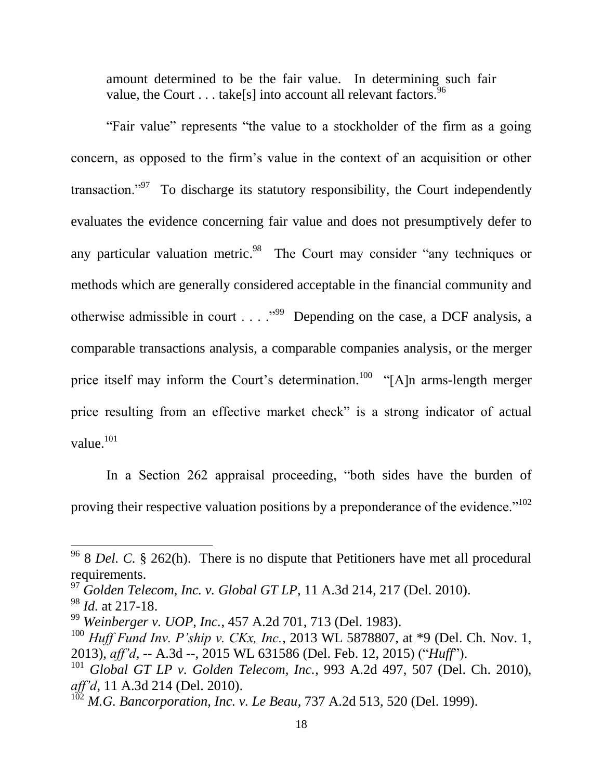amount determined to be the fair value. In determining such fair value, the Court  $\dots$  take[s] into account all relevant factors.  $96$ 

"Fair value" represents "the value to a stockholder of the firm as a going concern, as opposed to the firm's value in the context of an acquisition or other transaction."<sup>97</sup> To discharge its statutory responsibility, the Court independently evaluates the evidence concerning fair value and does not presumptively defer to any particular valuation metric.<sup>98</sup> The Court may consider "any techniques or methods which are generally considered acceptable in the financial community and otherwise admissible in court  $\ldots$   $\cdot$  <sup>999</sup> Depending on the case, a DCF analysis, a comparable transactions analysis, a comparable companies analysis, or the merger price itself may inform the Court's determination.<sup>100</sup> "[A]n arms-length merger price resulting from an effective market check" is a strong indicator of actual value. $101$ 

In a Section 262 appraisal proceeding, "both sides have the burden of proving their respective valuation positions by a preponderance of the evidence."<sup>102</sup>

 $\overline{a}$ 

<sup>&</sup>lt;sup>96</sup> 8 *Del. C.* § 262(h). There is no dispute that Petitioners have met all procedural requirements.

<sup>97</sup> *Golden Telecom, Inc. v. Global GT LP*, 11 A.3d 214, 217 (Del. 2010).

<sup>98</sup> *Id.* at 217-18.

<sup>99</sup> *Weinberger v. UOP, Inc.*, 457 A.2d 701, 713 (Del. 1983).

<sup>100</sup> *Huff Fund Inv. P'ship v. CKx, Inc.*, 2013 WL 5878807, at \*9 (Del. Ch. Nov. 1, 2013), *aff'd*, -- A.3d --, 2015 WL 631586 (Del. Feb. 12, 2015) ("*Huff*").

<sup>101</sup> *Global GT LP v. Golden Telecom, Inc.*, 993 A.2d 497, 507 (Del. Ch. 2010), *aff'd*, 11 A.3d 214 (Del. 2010).

<sup>&</sup>lt;sup>102</sup> *M.G. Bancorporation, Inc. v. Le Beau,* 737 A.2d 513, 520 (Del. 1999).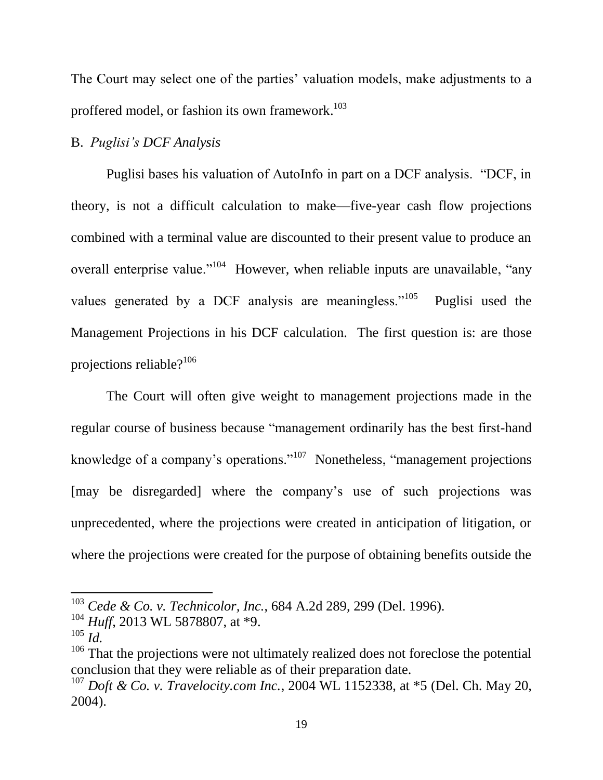The Court may select one of the parties' valuation models, make adjustments to a proffered model, or fashion its own framework.<sup>103</sup>

# B. *Puglisi's DCF Analysis*

Puglisi bases his valuation of AutoInfo in part on a DCF analysis. "DCF, in theory, is not a difficult calculation to make—five-year cash flow projections combined with a terminal value are discounted to their present value to produce an overall enterprise value."<sup>104</sup> However, when reliable inputs are unavailable, "any values generated by a DCF analysis are meaningless."<sup>105</sup> Puglisi used the Management Projections in his DCF calculation. The first question is: are those projections reliable?<sup>106</sup>

The Court will often give weight to management projections made in the regular course of business because "management ordinarily has the best first-hand knowledge of a company's operations."<sup>107</sup> Nonetheless, "management projections [may be disregarded] where the company's use of such projections was unprecedented, where the projections were created in anticipation of litigation, or where the projections were created for the purpose of obtaining benefits outside the

<sup>103</sup> *Cede & Co. v. Technicolor, Inc.*, 684 A.2d 289, 299 (Del. 1996).

<sup>104</sup> *Huff*, 2013 WL 5878807, at \*9.

<sup>105</sup> *Id.*

 $106$  That the projections were not ultimately realized does not foreclose the potential conclusion that they were reliable as of their preparation date.

<sup>107</sup> *Doft & Co. v. Travelocity.com Inc.*, 2004 WL 1152338, at \*5 (Del. Ch. May 20, 2004).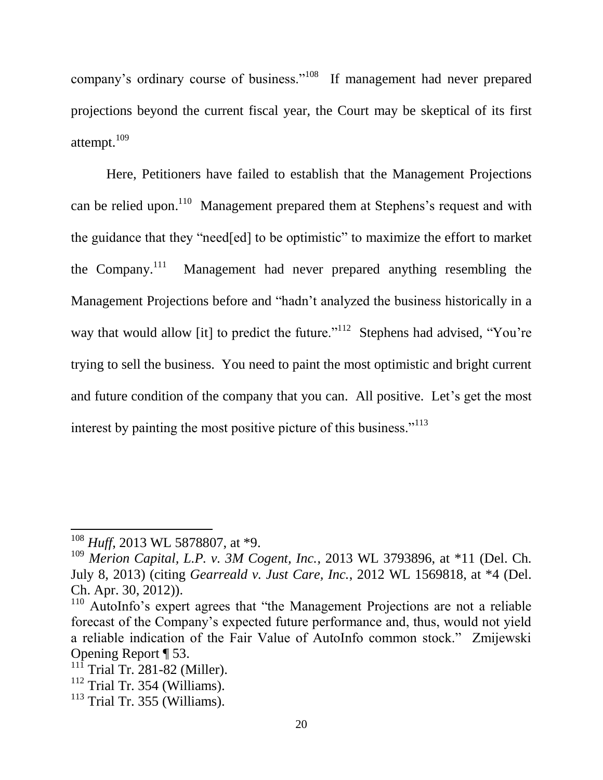company's ordinary course of business."<sup>108</sup> If management had never prepared projections beyond the current fiscal year, the Court may be skeptical of its first attempt. $^{109}$ 

Here, Petitioners have failed to establish that the Management Projections can be relied upon.<sup>110</sup> Management prepared them at Stephens's request and with the guidance that they "need[ed] to be optimistic" to maximize the effort to market the Company. $^{111}$  Management had never prepared anything resembling the Management Projections before and "hadn't analyzed the business historically in a way that would allow [it] to predict the future."<sup>112</sup> Stephens had advised, "You're trying to sell the business. You need to paint the most optimistic and bright current and future condition of the company that you can. All positive. Let's get the most interest by painting the most positive picture of this business."<sup>113</sup>

<sup>108</sup> *Huff*, 2013 WL 5878807, at \*9.

<sup>109</sup> *Merion Capital, L.P. v. 3M Cogent, Inc.*, 2013 WL 3793896, at \*11 (Del. Ch. July 8, 2013) (citing *Gearreald v. Just Care, Inc.*, 2012 WL 1569818, at \*4 (Del. Ch. Apr. 30, 2012)).

<sup>&</sup>lt;sup>110</sup> AutoInfo's expert agrees that "the Management Projections are not a reliable forecast of the Company's expected future performance and, thus, would not yield a reliable indication of the Fair Value of AutoInfo common stock." Zmijewski Opening Report ¶ 53.

 $11\overline{1}$  Trial Tr. 281-82 (Miller).

 $112$  Trial Tr. 354 (Williams).

 $113$  Trial Tr. 355 (Williams).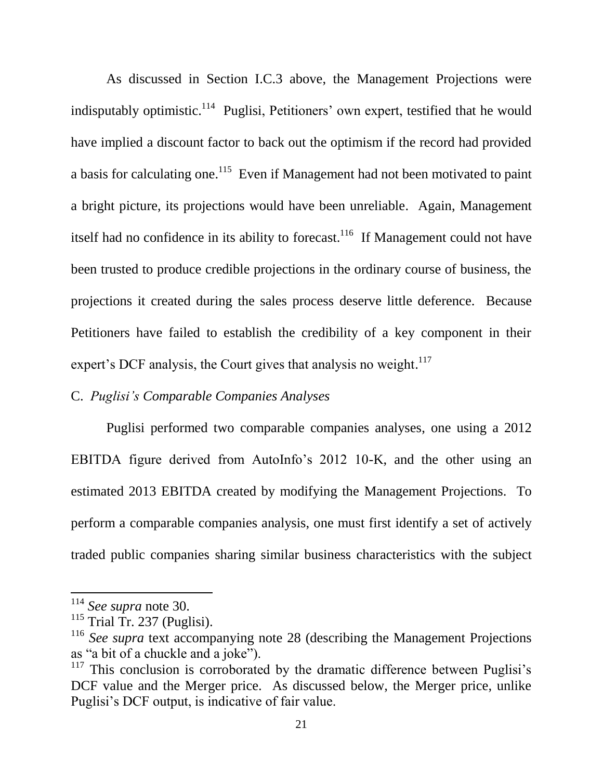As discussed in Section I.C.3 above, the Management Projections were indisputably optimistic.<sup>114</sup> Puglisi, Petitioners' own expert, testified that he would have implied a discount factor to back out the optimism if the record had provided a basis for calculating one.<sup>115</sup> Even if Management had not been motivated to paint a bright picture, its projections would have been unreliable. Again, Management itself had no confidence in its ability to forecast.<sup>116</sup> If Management could not have been trusted to produce credible projections in the ordinary course of business, the projections it created during the sales process deserve little deference. Because Petitioners have failed to establish the credibility of a key component in their expert's DCF analysis, the Court gives that analysis no weight.<sup>117</sup>

# C. *Puglisi's Comparable Companies Analyses*

Puglisi performed two comparable companies analyses, one using a 2012 EBITDA figure derived from AutoInfo's 2012 10-K, and the other using an estimated 2013 EBITDA created by modifying the Management Projections. To perform a comparable companies analysis, one must first identify a set of actively traded public companies sharing similar business characteristics with the subject

<sup>114</sup> *See supra* note 30.

 $115$  Trial Tr. 237 (Puglisi).

<sup>&</sup>lt;sup>116</sup> See supra text accompanying note 28 (describing the Management Projections as "a bit of a chuckle and a joke").

 $117$  This conclusion is corroborated by the dramatic difference between Puglisi's DCF value and the Merger price. As discussed below, the Merger price, unlike Puglisi's DCF output, is indicative of fair value.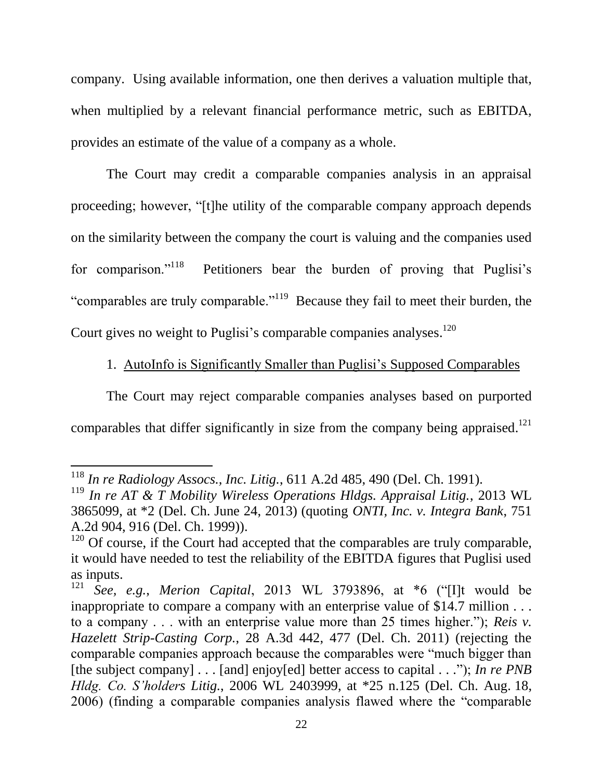company. Using available information, one then derives a valuation multiple that, when multiplied by a relevant financial performance metric, such as EBITDA, provides an estimate of the value of a company as a whole.

The Court may credit a comparable companies analysis in an appraisal proceeding; however, "[t]he utility of the comparable company approach depends on the similarity between the company the court is valuing and the companies used for comparison."<sup>118</sup> Petitioners bear the burden of proving that Puglisi's "comparables are truly comparable."<sup>119</sup> Because they fail to meet their burden, the Court gives no weight to Puglisi's comparable companies analyses.<sup>120</sup>

1. AutoInfo is Significantly Smaller than Puglisi's Supposed Comparables

The Court may reject comparable companies analyses based on purported comparables that differ significantly in size from the company being appraised.<sup>121</sup>

l

<sup>118</sup> *In re Radiology Assocs., Inc. Litig.*, 611 A.2d 485, 490 (Del. Ch. 1991).

<sup>119</sup> *In re AT & T Mobility Wireless Operations Hldgs. Appraisal Litig.*, 2013 WL 3865099, at \*2 (Del. Ch. June 24, 2013) (quoting *ONTI, Inc. v. Integra Bank*, 751 A.2d 904, 916 (Del. Ch. 1999)).

 $120$  Of course, if the Court had accepted that the comparables are truly comparable, it would have needed to test the reliability of the EBITDA figures that Puglisi used as inputs.<br> $\frac{121}{568}$ 

<sup>121</sup> *See, e.g.*, *Merion Capital*, 2013 WL 3793896, at \*6 ("[I]t would be inappropriate to compare a company with an enterprise value of \$14.7 million . . . to a company . . . with an enterprise value more than 25 times higher."); *Reis v. Hazelett Strip-Casting Corp.*, 28 A.3d 442, 477 (Del. Ch. 2011) (rejecting the comparable companies approach because the comparables were "much bigger than [the subject company] . . . [and] enjoy[ed] better access to capital . . ."); *In re PNB Hldg. Co. S'holders Litig.*, 2006 WL 2403999, at \*25 n.125 (Del. Ch. Aug. 18, 2006) (finding a comparable companies analysis flawed where the "comparable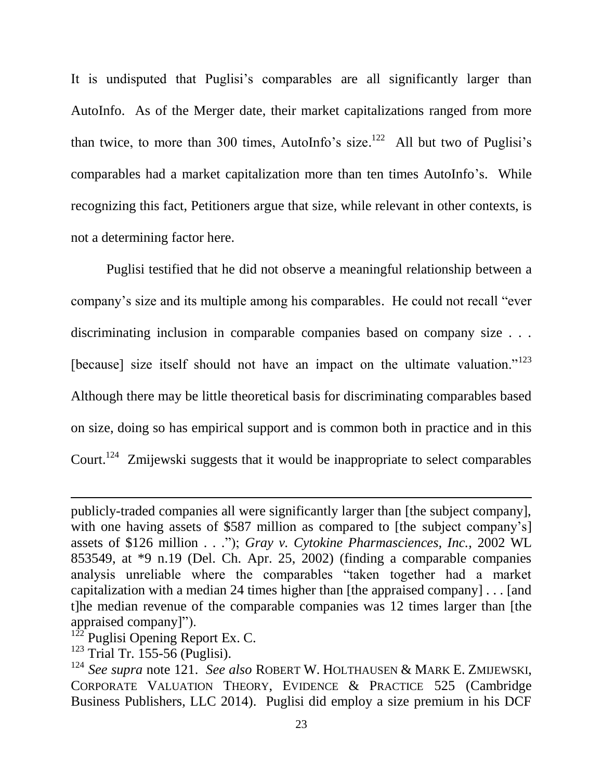It is undisputed that Puglisi's comparables are all significantly larger than AutoInfo. As of the Merger date, their market capitalizations ranged from more than twice, to more than 300 times, AutoInfo's size. $122$  All but two of Puglisi's comparables had a market capitalization more than ten times AutoInfo's. While recognizing this fact, Petitioners argue that size, while relevant in other contexts, is not a determining factor here.

Puglisi testified that he did not observe a meaningful relationship between a company's size and its multiple among his comparables. He could not recall "ever discriminating inclusion in comparable companies based on company size . . . [because] size itself should not have an impact on the ultimate valuation."<sup>123</sup> Although there may be little theoretical basis for discriminating comparables based on size, doing so has empirical support and is common both in practice and in this Court.<sup>124</sup> Zmijewski suggests that it would be inappropriate to select comparables

 $\overline{a}$ 

publicly-traded companies all were significantly larger than [the subject company], with one having assets of \$587 million as compared to [the subject company's] assets of \$126 million . . ."); *Gray v. Cytokine Pharmasciences, Inc.*, 2002 WL 853549, at \*9 n.19 (Del. Ch. Apr. 25, 2002) (finding a comparable companies analysis unreliable where the comparables "taken together had a market capitalization with a median 24 times higher than [the appraised company] . . . [and t]he median revenue of the comparable companies was 12 times larger than [the appraised company]").

 $122$ <sup>122</sup> Puglisi Opening Report Ex. C.

 $123$  Trial Tr. 155-56 (Puglisi).

<sup>124</sup> *See supra* note 121. *See also* ROBERT W. HOLTHAUSEN & MARK E. ZMIJEWSKI, CORPORATE VALUATION THEORY, EVIDENCE & PRACTICE 525 (Cambridge Business Publishers, LLC 2014). Puglisi did employ a size premium in his DCF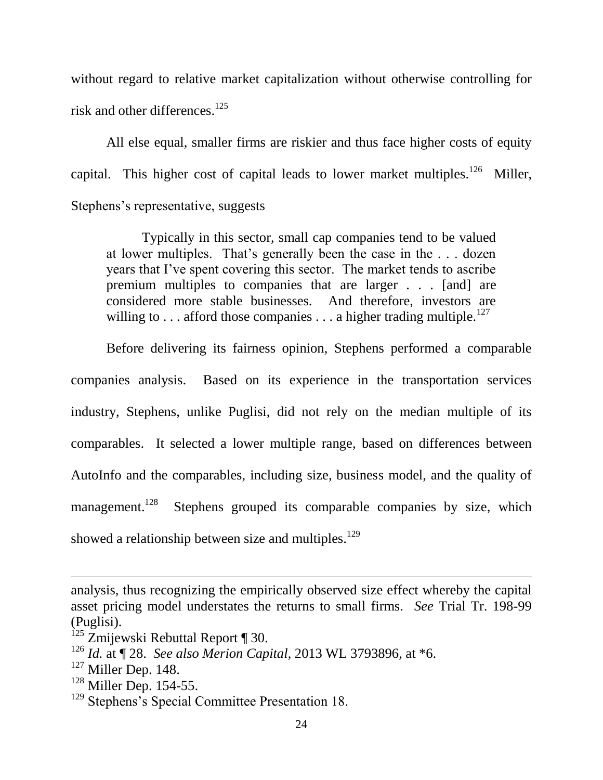without regard to relative market capitalization without otherwise controlling for risk and other differences.<sup>125</sup>

All else equal, smaller firms are riskier and thus face higher costs of equity capital. This higher cost of capital leads to lower market multiples.<sup>126</sup> Miller, Stephens's representative, suggests

Typically in this sector, small cap companies tend to be valued at lower multiples. That's generally been the case in the . . . dozen years that I've spent covering this sector. The market tends to ascribe premium multiples to companies that are larger . . . [and] are considered more stable businesses. And therefore, investors are willing to . . . afford those companies . . . a higher trading multiple.<sup>127</sup>

Before delivering its fairness opinion, Stephens performed a comparable companies analysis. Based on its experience in the transportation services industry, Stephens, unlike Puglisi, did not rely on the median multiple of its comparables. It selected a lower multiple range, based on differences between AutoInfo and the comparables, including size, business model, and the quality of management. 128 Stephens grouped its comparable companies by size, which showed a relationship between size and multiples.<sup>129</sup>

analysis, thus recognizing the empirically observed size effect whereby the capital asset pricing model understates the returns to small firms. *See* Trial Tr. 198-99 (Puglisi).

<sup>&</sup>lt;sup>125</sup> Zmijewski Rebuttal Report ¶ 30.

<sup>126</sup> *Id.* at ¶ 28. *See also Merion Capital*, 2013 WL 3793896, at \*6.

 $127$  Miller Dep. 148.

<sup>&</sup>lt;sup>128</sup> Miller Dep. 154-55.

<sup>&</sup>lt;sup>129</sup> Stephens's Special Committee Presentation 18.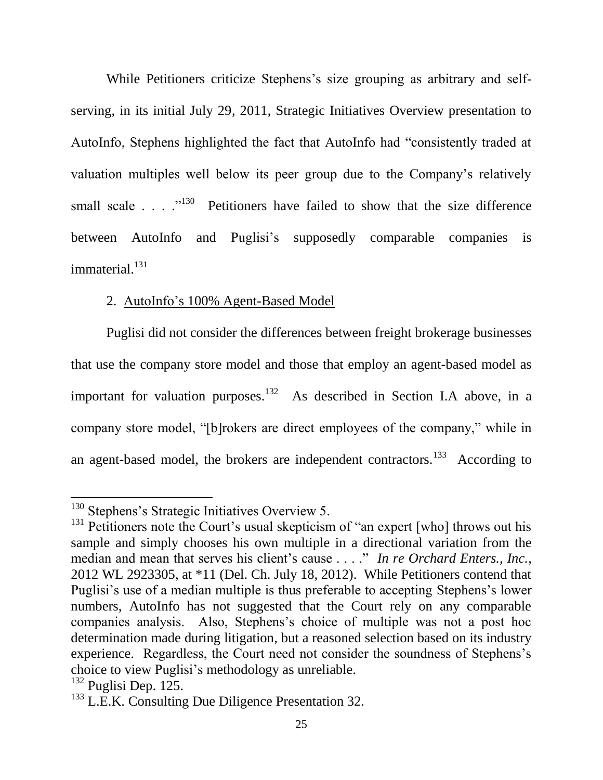While Petitioners criticize Stephens's size grouping as arbitrary and selfserving, in its initial July 29, 2011, Strategic Initiatives Overview presentation to AutoInfo, Stephens highlighted the fact that AutoInfo had "consistently traded at valuation multiples well below its peer group due to the Company's relatively small scale  $\ldots$   $\cdot$  <sup>130</sup> Petitioners have failed to show that the size difference between AutoInfo and Puglisi's supposedly comparable companies is immaterial. 131

## 2. AutoInfo's 100% Agent-Based Model

Puglisi did not consider the differences between freight brokerage businesses that use the company store model and those that employ an agent-based model as important for valuation purposes. $132$  As described in Section I.A above, in a company store model, "[b]rokers are direct employees of the company," while in an agent-based model, the brokers are independent contractors.<sup>133</sup> According to

 $\overline{a}$ 

<sup>&</sup>lt;sup>130</sup> Stephens's Strategic Initiatives Overview 5.

<sup>&</sup>lt;sup>131</sup> Petitioners note the Court's usual skepticism of "an expert [who] throws out his sample and simply chooses his own multiple in a directional variation from the median and mean that serves his client's cause . . . ." *In re Orchard Enters., Inc.*, 2012 WL 2923305, at \*11 (Del. Ch. July 18, 2012). While Petitioners contend that Puglisi's use of a median multiple is thus preferable to accepting Stephens's lower numbers, AutoInfo has not suggested that the Court rely on any comparable companies analysis. Also, Stephens's choice of multiple was not a post hoc determination made during litigation, but a reasoned selection based on its industry experience. Regardless, the Court need not consider the soundness of Stephens's choice to view Puglisi's methodology as unreliable.

 $132$  Puglisi Dep. 125.

<sup>&</sup>lt;sup>133</sup> L.E.K. Consulting Due Diligence Presentation 32.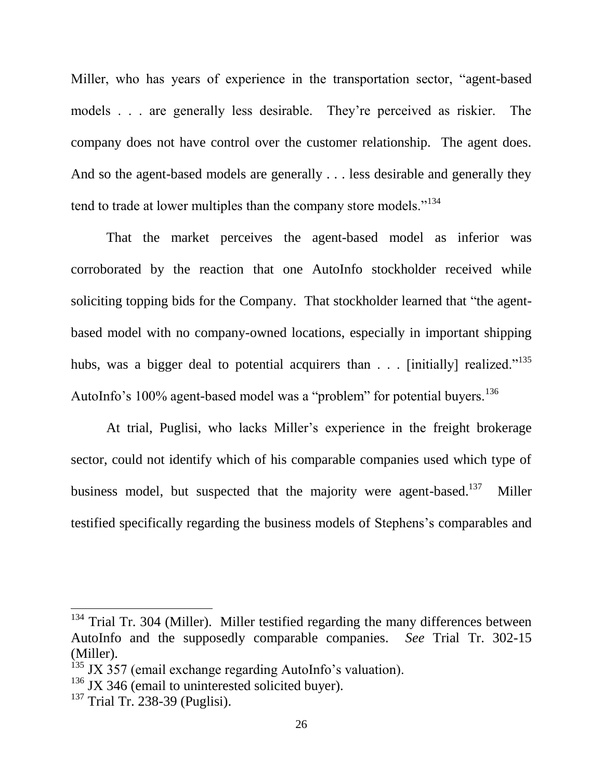Miller, who has years of experience in the transportation sector, "agent-based models . . . are generally less desirable. They're perceived as riskier. The company does not have control over the customer relationship. The agent does. And so the agent-based models are generally . . . less desirable and generally they tend to trade at lower multiples than the company store models."<sup>134</sup>

That the market perceives the agent-based model as inferior was corroborated by the reaction that one AutoInfo stockholder received while soliciting topping bids for the Company. That stockholder learned that "the agentbased model with no company-owned locations, especially in important shipping hubs, was a bigger deal to potential acquirers than  $\ldots$  [initially] realized."<sup>135</sup> AutoInfo's 100% agent-based model was a "problem" for potential buyers.<sup>136</sup>

At trial, Puglisi, who lacks Miller's experience in the freight brokerage sector, could not identify which of his comparable companies used which type of business model, but suspected that the majority were agent-based.<sup>137</sup> Miller testified specifically regarding the business models of Stephens's comparables and

 $134$  Trial Tr. 304 (Miller). Miller testified regarding the many differences between AutoInfo and the supposedly comparable companies. *See* Trial Tr. 302-15 (Miller).

 $135$  JX 357 (email exchange regarding AutoInfo's valuation).

 $136$  JX 346 (email to uninterested solicited buyer).

<sup>137</sup> Trial Tr. 238-39 (Puglisi).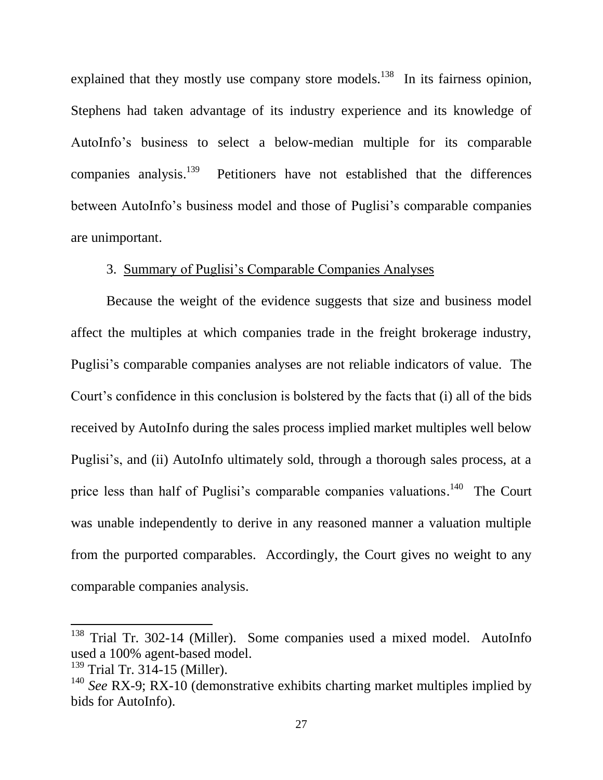explained that they mostly use company store models.<sup>138</sup> In its fairness opinion, Stephens had taken advantage of its industry experience and its knowledge of AutoInfo's business to select a below-median multiple for its comparable companies analysis.<sup>139</sup> Petitioners have not established that the differences between AutoInfo's business model and those of Puglisi's comparable companies are unimportant.

# 3. Summary of Puglisi's Comparable Companies Analyses

Because the weight of the evidence suggests that size and business model affect the multiples at which companies trade in the freight brokerage industry, Puglisi's comparable companies analyses are not reliable indicators of value. The Court's confidence in this conclusion is bolstered by the facts that (i) all of the bids received by AutoInfo during the sales process implied market multiples well below Puglisi's, and (ii) AutoInfo ultimately sold, through a thorough sales process, at a price less than half of Puglisi's comparable companies valuations.<sup>140</sup> The Court was unable independently to derive in any reasoned manner a valuation multiple from the purported comparables. Accordingly, the Court gives no weight to any comparable companies analysis.

<sup>&</sup>lt;sup>138</sup> Trial Tr. 302-14 (Miller). Some companies used a mixed model. AutoInfo used a 100% agent-based model.

<sup>139</sup> Trial Tr. 314-15 (Miller).

<sup>140</sup> *See* RX-9; RX-10 (demonstrative exhibits charting market multiples implied by bids for AutoInfo).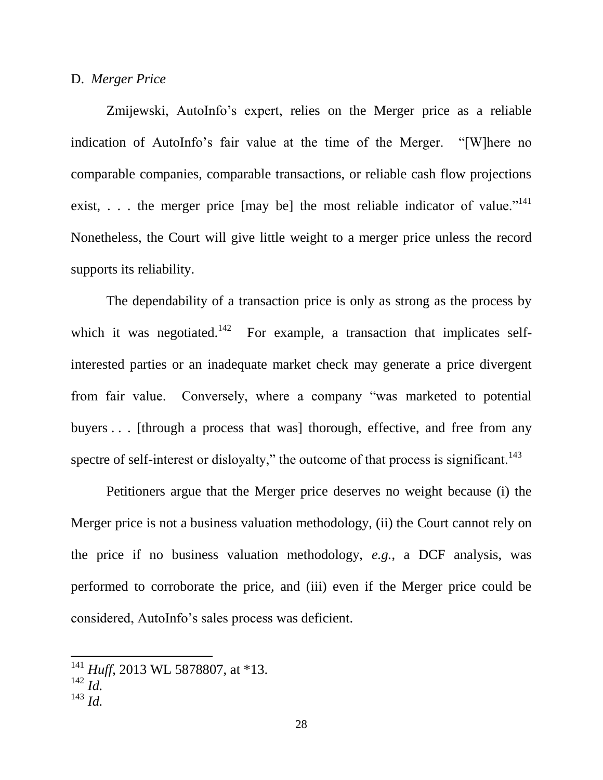#### D. *Merger Price*

Zmijewski, AutoInfo's expert, relies on the Merger price as a reliable indication of AutoInfo's fair value at the time of the Merger. "[W]here no comparable companies, comparable transactions, or reliable cash flow projections exist, ... the merger price [may be] the most reliable indicator of value."<sup>141</sup> Nonetheless, the Court will give little weight to a merger price unless the record supports its reliability.

The dependability of a transaction price is only as strong as the process by which it was negotiated.<sup>142</sup> For example, a transaction that implicates selfinterested parties or an inadequate market check may generate a price divergent from fair value. Conversely, where a company "was marketed to potential buyers . . . [through a process that was] thorough, effective, and free from any spectre of self-interest or disloyalty," the outcome of that process is significant.<sup>143</sup>

Petitioners argue that the Merger price deserves no weight because (i) the Merger price is not a business valuation methodology, (ii) the Court cannot rely on the price if no business valuation methodology, *e.g.*, a DCF analysis, was performed to corroborate the price, and (iii) even if the Merger price could be considered, AutoInfo's sales process was deficient.

<sup>&</sup>lt;sup>141</sup> *Huff*, 2013 WL 5878807, at \*13.

<sup>142</sup> *Id.*

<sup>143</sup> *Id.*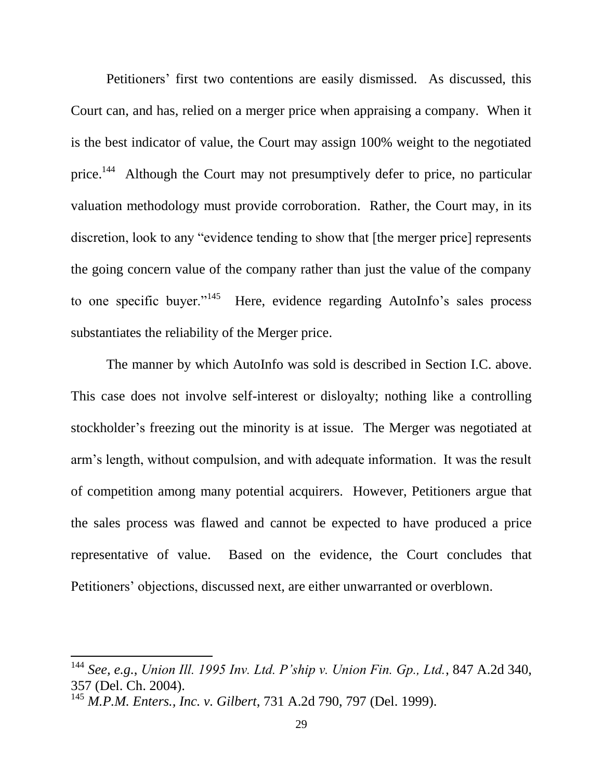Petitioners' first two contentions are easily dismissed. As discussed, this Court can, and has, relied on a merger price when appraising a company. When it is the best indicator of value, the Court may assign 100% weight to the negotiated price.<sup>144</sup> Although the Court may not presumptively defer to price, no particular valuation methodology must provide corroboration. Rather, the Court may, in its discretion, look to any "evidence tending to show that [the merger price] represents the going concern value of the company rather than just the value of the company to one specific buyer."<sup>145</sup> Here, evidence regarding AutoInfo's sales process substantiates the reliability of the Merger price.

The manner by which AutoInfo was sold is described in Section I.C. above. This case does not involve self-interest or disloyalty; nothing like a controlling stockholder's freezing out the minority is at issue. The Merger was negotiated at arm's length, without compulsion, and with adequate information. It was the result of competition among many potential acquirers. However, Petitioners argue that the sales process was flawed and cannot be expected to have produced a price representative of value. Based on the evidence, the Court concludes that Petitioners' objections, discussed next, are either unwarranted or overblown.

<sup>144</sup> *See, e.g.*, *Union Ill. 1995 Inv. Ltd. P'ship v. Union Fin. Gp., Ltd.*, 847 A.2d 340, 357 (Del. Ch. 2004).

<sup>145</sup> *M.P.M. Enters., Inc. v. Gilbert*, 731 A.2d 790, 797 (Del. 1999).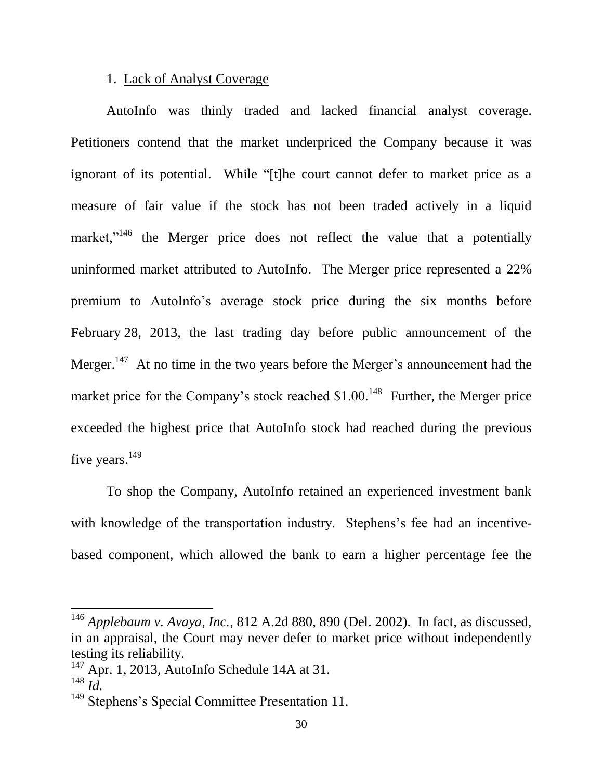### 1. Lack of Analyst Coverage

AutoInfo was thinly traded and lacked financial analyst coverage. Petitioners contend that the market underpriced the Company because it was ignorant of its potential. While "[t]he court cannot defer to market price as a measure of fair value if the stock has not been traded actively in a liquid market,"<sup>146</sup> the Merger price does not reflect the value that a potentially uninformed market attributed to AutoInfo. The Merger price represented a 22% premium to AutoInfo's average stock price during the six months before February 28, 2013, the last trading day before public announcement of the Merger.<sup>147</sup> At no time in the two years before the Merger's announcement had the market price for the Company's stock reached  $$1.00<sup>148</sup>$  Further, the Merger price exceeded the highest price that AutoInfo stock had reached during the previous five years.<sup>149</sup>

To shop the Company, AutoInfo retained an experienced investment bank with knowledge of the transportation industry. Stephens's fee had an incentivebased component, which allowed the bank to earn a higher percentage fee the

<sup>146</sup> *Applebaum v. Avaya, Inc.*, 812 A.2d 880, 890 (Del. 2002). In fact, as discussed, in an appraisal, the Court may never defer to market price without independently testing its reliability.

 $147$  Apr. 1, 2013, AutoInfo Schedule 14A at 31.

 $^{148}$  *Id.* 

<sup>&</sup>lt;sup>149</sup> Stephens's Special Committee Presentation 11.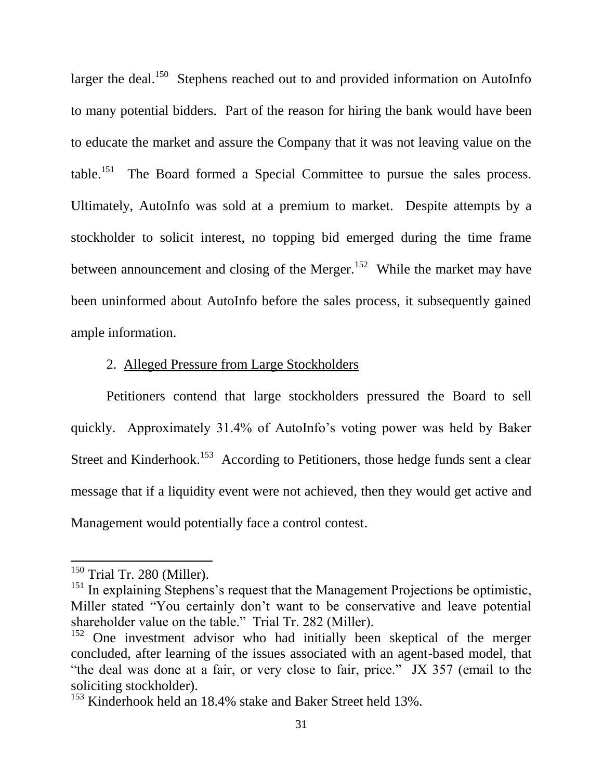larger the deal.<sup>150</sup> Stephens reached out to and provided information on AutoInfo to many potential bidders. Part of the reason for hiring the bank would have been to educate the market and assure the Company that it was not leaving value on the table.<sup>151</sup> The Board formed a Special Committee to pursue the sales process. Ultimately, AutoInfo was sold at a premium to market. Despite attempts by a stockholder to solicit interest, no topping bid emerged during the time frame between announcement and closing of the Merger.<sup>152</sup> While the market may have been uninformed about AutoInfo before the sales process, it subsequently gained ample information.

# 2. Alleged Pressure from Large Stockholders

Petitioners contend that large stockholders pressured the Board to sell quickly. Approximately 31.4% of AutoInfo's voting power was held by Baker Street and Kinderhook.<sup>153</sup> According to Petitioners, those hedge funds sent a clear message that if a liquidity event were not achieved, then they would get active and Management would potentially face a control contest.

<sup>&</sup>lt;sup>150</sup> Trial Tr. 280 (Miller).

<sup>&</sup>lt;sup>151</sup> In explaining Stephens's request that the Management Projections be optimistic, Miller stated "You certainly don't want to be conservative and leave potential shareholder value on the table." Trial Tr. 282 (Miller).

<sup>&</sup>lt;sup>152</sup> One investment advisor who had initially been skeptical of the merger concluded, after learning of the issues associated with an agent-based model, that "the deal was done at a fair, or very close to fair, price." JX 357 (email to the soliciting stockholder).

<sup>&</sup>lt;sup>153</sup> Kinderhook held an 18.4% stake and Baker Street held 13%.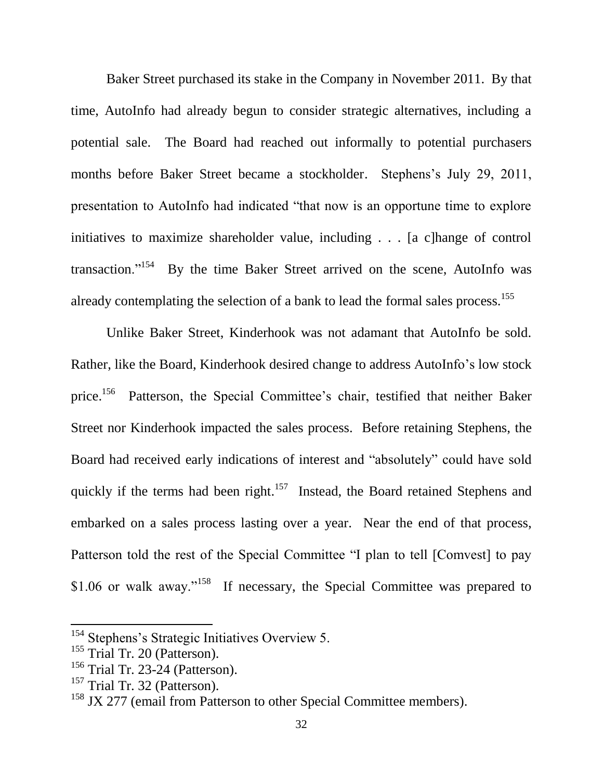Baker Street purchased its stake in the Company in November 2011. By that time, AutoInfo had already begun to consider strategic alternatives, including a potential sale. The Board had reached out informally to potential purchasers months before Baker Street became a stockholder. Stephens's July 29, 2011, presentation to AutoInfo had indicated "that now is an opportune time to explore initiatives to maximize shareholder value, including . . . [a c]hange of control transaction."<sup>154</sup> By the time Baker Street arrived on the scene, AutoInfo was already contemplating the selection of a bank to lead the formal sales process.<sup>155</sup>

Unlike Baker Street, Kinderhook was not adamant that AutoInfo be sold. Rather, like the Board, Kinderhook desired change to address AutoInfo's low stock price.<sup>156</sup> Patterson, the Special Committee's chair, testified that neither Baker Street nor Kinderhook impacted the sales process. Before retaining Stephens, the Board had received early indications of interest and "absolutely" could have sold quickly if the terms had been right.<sup>157</sup> Instead, the Board retained Stephens and embarked on a sales process lasting over a year. Near the end of that process, Patterson told the rest of the Special Committee "I plan to tell [Comvest] to pay \$1.06 or walk away."<sup>158</sup> If necessary, the Special Committee was prepared to

<sup>&</sup>lt;sup>154</sup> Stephens's Strategic Initiatives Overview 5.

<sup>&</sup>lt;sup>155</sup> Trial Tr. 20 (Patterson).

<sup>156</sup> Trial Tr. 23-24 (Patterson).

<sup>&</sup>lt;sup>157</sup> Trial Tr. 32 (Patterson).

<sup>&</sup>lt;sup>158</sup> JX 277 (email from Patterson to other Special Committee members).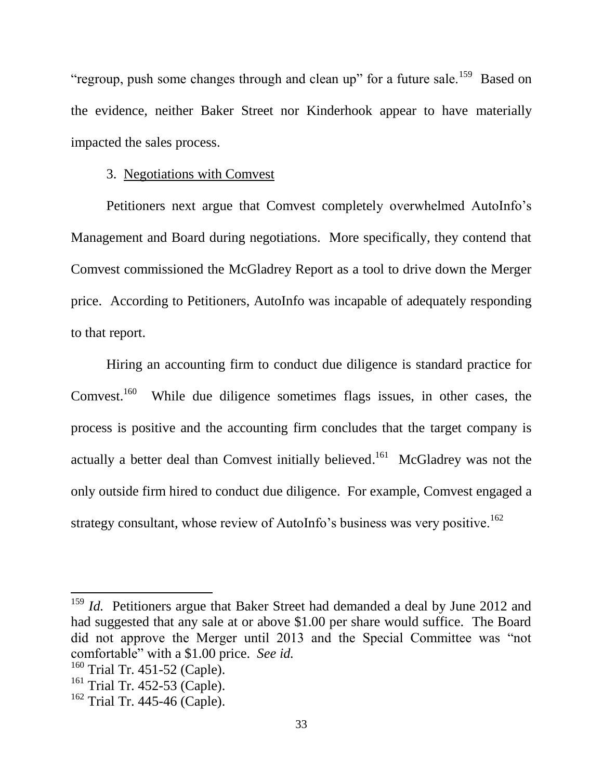"regroup, push some changes through and clean up" for a future sale.<sup>159</sup> Based on the evidence, neither Baker Street nor Kinderhook appear to have materially impacted the sales process.

## 3. Negotiations with Comvest

Petitioners next argue that Comvest completely overwhelmed AutoInfo's Management and Board during negotiations. More specifically, they contend that Comvest commissioned the McGladrey Report as a tool to drive down the Merger price. According to Petitioners, AutoInfo was incapable of adequately responding to that report.

Hiring an accounting firm to conduct due diligence is standard practice for Comvest.<sup>160</sup> While due diligence sometimes flags issues, in other cases, the process is positive and the accounting firm concludes that the target company is actually a better deal than Comvest initially believed.<sup>161</sup> McGladrey was not the only outside firm hired to conduct due diligence. For example, Comvest engaged a strategy consultant, whose review of AutoInfo's business was very positive.<sup>162</sup>

<sup>&</sup>lt;sup>159</sup> *Id.* Petitioners argue that Baker Street had demanded a deal by June 2012 and had suggested that any sale at or above \$1.00 per share would suffice. The Board did not approve the Merger until 2013 and the Special Committee was "not comfortable" with a \$1.00 price. *See id.*

<sup>&</sup>lt;sup>160</sup> Trial Tr. 451-52 (Caple).

<sup>&</sup>lt;sup>161</sup> Trial Tr. 452-53 (Caple).

 $162$  Trial Tr. 445-46 (Caple).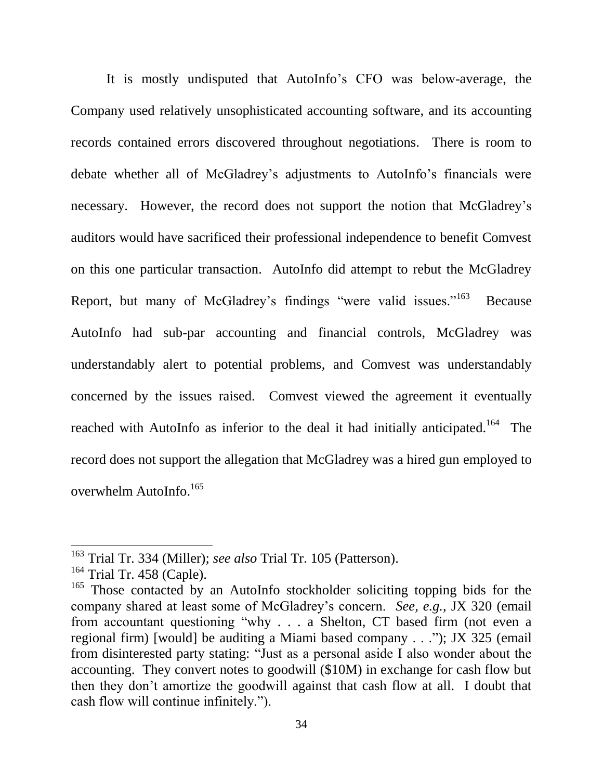It is mostly undisputed that AutoInfo's CFO was below-average, the Company used relatively unsophisticated accounting software, and its accounting records contained errors discovered throughout negotiations. There is room to debate whether all of McGladrey's adjustments to AutoInfo's financials were necessary. However, the record does not support the notion that McGladrey's auditors would have sacrificed their professional independence to benefit Comvest on this one particular transaction. AutoInfo did attempt to rebut the McGladrey Report, but many of McGladrey's findings "were valid issues."<sup>163</sup> Because AutoInfo had sub-par accounting and financial controls, McGladrey was understandably alert to potential problems, and Comvest was understandably concerned by the issues raised. Comvest viewed the agreement it eventually reached with AutoInfo as inferior to the deal it had initially anticipated.<sup>164</sup> The record does not support the allegation that McGladrey was a hired gun employed to overwhelm AutoInfo.<sup>165</sup>

 $\overline{a}$ 

<sup>163</sup> Trial Tr. 334 (Miller); *see also* Trial Tr. 105 (Patterson).

 $164$  Trial Tr. 458 (Caple).

<sup>&</sup>lt;sup>165</sup> Those contacted by an AutoInfo stockholder soliciting topping bids for the company shared at least some of McGladrey's concern. *See, e.g.*, JX 320 (email from accountant questioning "why . . . a Shelton, CT based firm (not even a regional firm) [would] be auditing a Miami based company . . ."); JX 325 (email from disinterested party stating: "Just as a personal aside I also wonder about the accounting. They convert notes to goodwill (\$10M) in exchange for cash flow but then they don't amortize the goodwill against that cash flow at all. I doubt that cash flow will continue infinitely.").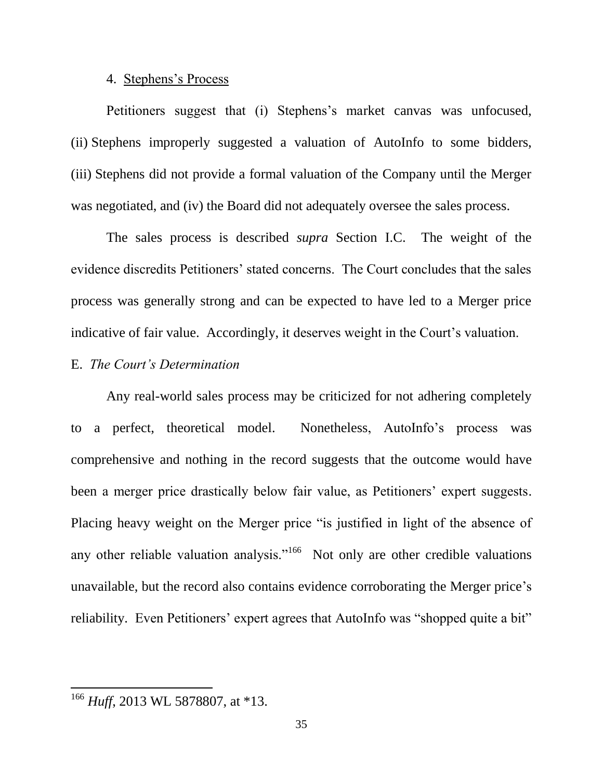#### 4. Stephens's Process

Petitioners suggest that (i) Stephens's market canvas was unfocused, (ii) Stephens improperly suggested a valuation of AutoInfo to some bidders, (iii) Stephens did not provide a formal valuation of the Company until the Merger was negotiated, and (iv) the Board did not adequately oversee the sales process.

The sales process is described *supra* Section I.C. The weight of the evidence discredits Petitioners' stated concerns. The Court concludes that the sales process was generally strong and can be expected to have led to a Merger price indicative of fair value. Accordingly, it deserves weight in the Court's valuation.

# E. *The Court's Determination*

Any real-world sales process may be criticized for not adhering completely to a perfect, theoretical model. Nonetheless, AutoInfo's process was comprehensive and nothing in the record suggests that the outcome would have been a merger price drastically below fair value, as Petitioners' expert suggests. Placing heavy weight on the Merger price "is justified in light of the absence of any other reliable valuation analysis."<sup>166</sup> Not only are other credible valuations unavailable, but the record also contains evidence corroborating the Merger price's reliability. Even Petitioners' expert agrees that AutoInfo was "shopped quite a bit"

l

<sup>&</sup>lt;sup>166</sup> *Huff*, 2013 WL 5878807, at \*13.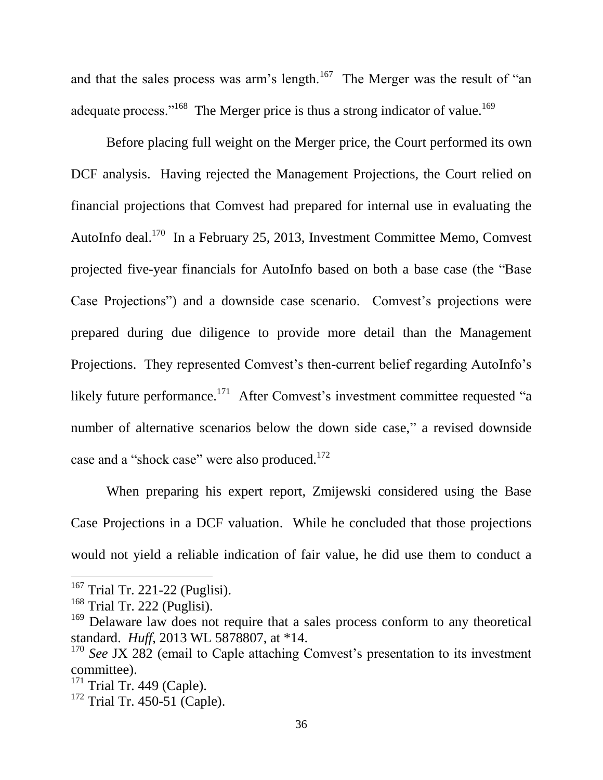and that the sales process was arm's length.<sup>167</sup> The Merger was the result of "an adequate process."<sup>168</sup> The Merger price is thus a strong indicator of value.<sup>169</sup>

Before placing full weight on the Merger price, the Court performed its own DCF analysis. Having rejected the Management Projections, the Court relied on financial projections that Comvest had prepared for internal use in evaluating the AutoInfo deal.<sup>170</sup> In a February 25, 2013, Investment Committee Memo, Comvest projected five-year financials for AutoInfo based on both a base case (the "Base Case Projections") and a downside case scenario. Comvest's projections were prepared during due diligence to provide more detail than the Management Projections. They represented Comvest's then-current belief regarding AutoInfo's likely future performance.<sup>171</sup> After Comvest's investment committee requested "a number of alternative scenarios below the down side case," a revised downside case and a "shock case" were also produced.<sup>172</sup>

When preparing his expert report, Zmijewski considered using the Base Case Projections in a DCF valuation. While he concluded that those projections would not yield a reliable indication of fair value, he did use them to conduct a

 $167$  Trial Tr. 221-22 (Puglisi).

 $168$  Trial Tr. 222 (Puglisi).

<sup>&</sup>lt;sup>169</sup> Delaware law does not require that a sales process conform to any theoretical standard. *Huff*, 2013 WL 5878807, at \*14.

<sup>&</sup>lt;sup>170</sup> *See* JX 282 (email to Caple attaching Comvest's presentation to its investment committee).

 $171$  Trial Tr. 449 (Caple).

 $172$  Trial Tr. 450-51 (Caple).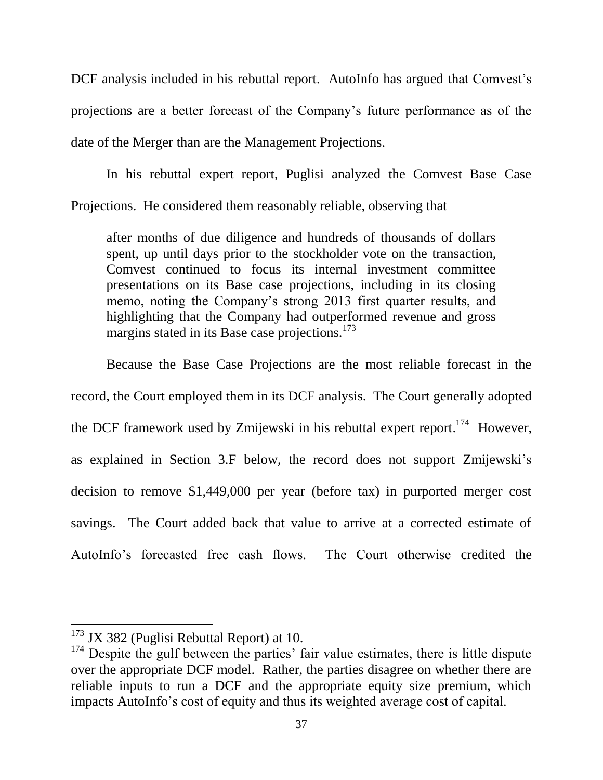DCF analysis included in his rebuttal report. AutoInfo has argued that Comvest's projections are a better forecast of the Company's future performance as of the date of the Merger than are the Management Projections.

In his rebuttal expert report, Puglisi analyzed the Comvest Base Case Projections. He considered them reasonably reliable, observing that

after months of due diligence and hundreds of thousands of dollars spent, up until days prior to the stockholder vote on the transaction, Comvest continued to focus its internal investment committee presentations on its Base case projections, including in its closing memo, noting the Company's strong 2013 first quarter results, and highlighting that the Company had outperformed revenue and gross margins stated in its Base case projections.<sup>173</sup>

Because the Base Case Projections are the most reliable forecast in the record, the Court employed them in its DCF analysis. The Court generally adopted the DCF framework used by Zmijewski in his rebuttal expert report.<sup>174</sup> However, as explained in Section 3.F below, the record does not support Zmijewski's decision to remove \$1,449,000 per year (before tax) in purported merger cost savings. The Court added back that value to arrive at a corrected estimate of AutoInfo's forecasted free cash flows. The Court otherwise credited the

 $173$  JX 382 (Puglisi Rebuttal Report) at 10.

<sup>&</sup>lt;sup>174</sup> Despite the gulf between the parties' fair value estimates, there is little dispute over the appropriate DCF model. Rather, the parties disagree on whether there are reliable inputs to run a DCF and the appropriate equity size premium, which impacts AutoInfo's cost of equity and thus its weighted average cost of capital.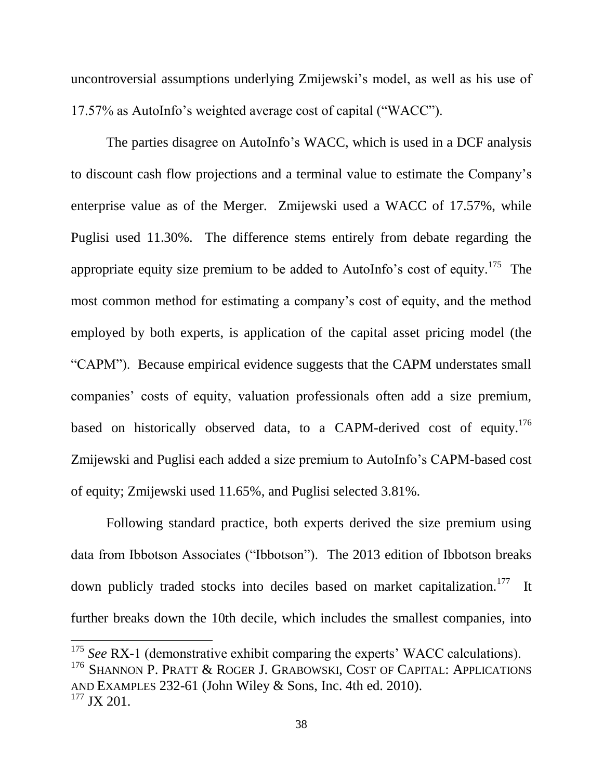uncontroversial assumptions underlying Zmijewski's model, as well as his use of 17.57% as AutoInfo's weighted average cost of capital ("WACC").

The parties disagree on AutoInfo's WACC, which is used in a DCF analysis to discount cash flow projections and a terminal value to estimate the Company's enterprise value as of the Merger. Zmijewski used a WACC of 17.57%, while Puglisi used 11.30%. The difference stems entirely from debate regarding the appropriate equity size premium to be added to AutoInfo's cost of equity.<sup>175</sup> The most common method for estimating a company's cost of equity, and the method employed by both experts, is application of the capital asset pricing model (the "CAPM"). Because empirical evidence suggests that the CAPM understates small companies' costs of equity, valuation professionals often add a size premium, based on historically observed data, to a CAPM-derived cost of equity.<sup>176</sup> Zmijewski and Puglisi each added a size premium to AutoInfo's CAPM-based cost of equity; Zmijewski used 11.65%, and Puglisi selected 3.81%.

Following standard practice, both experts derived the size premium using data from Ibbotson Associates ("Ibbotson"). The 2013 edition of Ibbotson breaks down publicly traded stocks into deciles based on market capitalization.<sup>177</sup> It further breaks down the 10th decile, which includes the smallest companies, into

<sup>&</sup>lt;sup>175</sup> *See* RX-1 (demonstrative exhibit comparing the experts' WACC calculations).

<sup>&</sup>lt;sup>176</sup> SHANNON P. PRATT & ROGER J. GRABOWSKI, COST OF CAPITAL: APPLICATIONS AND EXAMPLES 232-61 (John Wiley & Sons, Inc. 4th ed. 2010). <sup>177</sup> JX 201.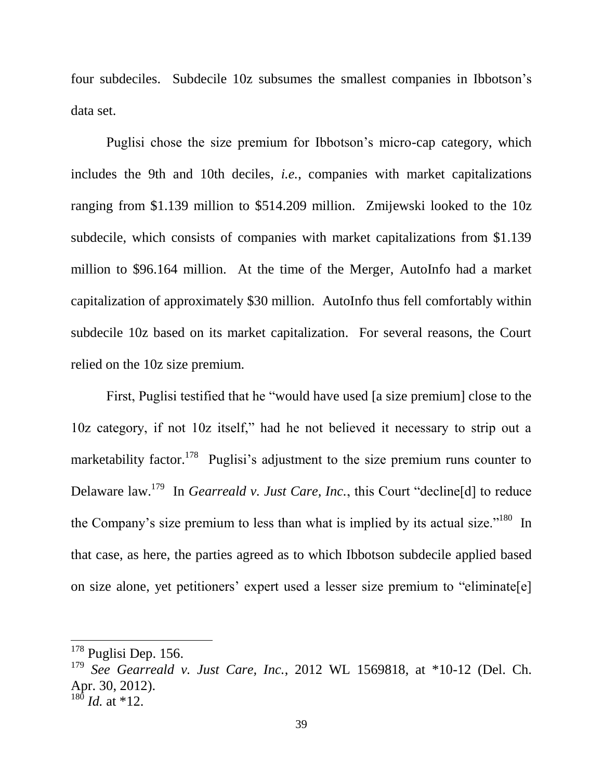four subdeciles. Subdecile 10z subsumes the smallest companies in Ibbotson's data set.

Puglisi chose the size premium for Ibbotson's micro-cap category, which includes the 9th and 10th deciles, *i.e.*, companies with market capitalizations ranging from \$1.139 million to \$514.209 million. Zmijewski looked to the 10z subdecile, which consists of companies with market capitalizations from \$1.139 million to \$96.164 million. At the time of the Merger, AutoInfo had a market capitalization of approximately \$30 million. AutoInfo thus fell comfortably within subdecile 10z based on its market capitalization. For several reasons, the Court relied on the 10z size premium.

First, Puglisi testified that he "would have used [a size premium] close to the 10z category, if not 10z itself," had he not believed it necessary to strip out a marketability factor.<sup>178</sup> Puglisi's adjustment to the size premium runs counter to Delaware law.<sup>179</sup> In *Gearreald v. Just Care, Inc.*, this Court "decline[d] to reduce the Company's size premium to less than what is implied by its actual size."<sup>180</sup> In that case, as here, the parties agreed as to which Ibbotson subdecile applied based on size alone, yet petitioners' expert used a lesser size premium to "eliminate[e]

 $178$  Puglisi Dep. 156.

<sup>179</sup> *See Gearreald v. Just Care, Inc.*, 2012 WL 1569818, at \*10-12 (Del. Ch. Apr. 30, 2012).

 $180$  *Id.* at \*12.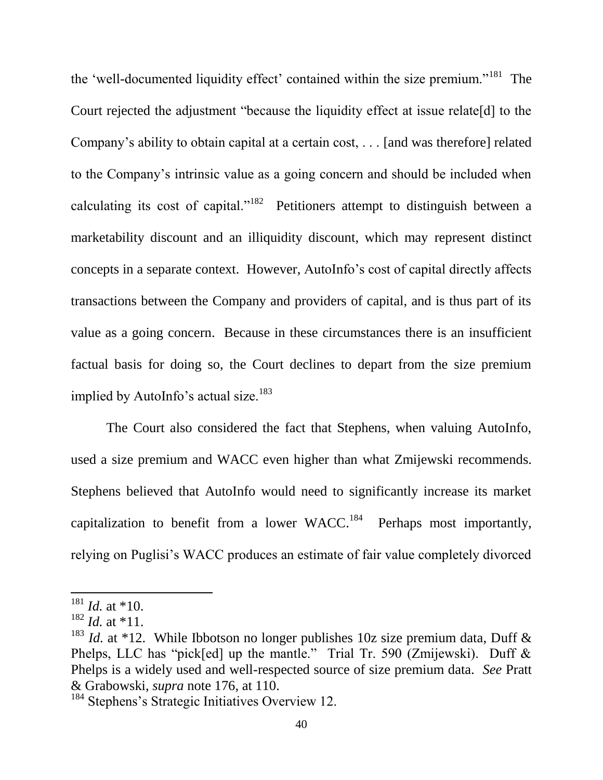the 'well-documented liquidity effect' contained within the size premium."<sup>181</sup> The Court rejected the adjustment "because the liquidity effect at issue relate[d] to the Company's ability to obtain capital at a certain cost, . . . [and was therefore] related to the Company's intrinsic value as a going concern and should be included when calculating its cost of capital."<sup>182</sup> Petitioners attempt to distinguish between a marketability discount and an illiquidity discount, which may represent distinct concepts in a separate context. However, AutoInfo's cost of capital directly affects transactions between the Company and providers of capital, and is thus part of its value as a going concern. Because in these circumstances there is an insufficient factual basis for doing so, the Court declines to depart from the size premium implied by AutoInfo's actual size. $183$ 

The Court also considered the fact that Stephens, when valuing AutoInfo, used a size premium and WACC even higher than what Zmijewski recommends. Stephens believed that AutoInfo would need to significantly increase its market capitalization to benefit from a lower  $WACC<sup>184</sup>$  Perhaps most importantly, relying on Puglisi's WACC produces an estimate of fair value completely divorced

 $181$  *Id.* at \*10.

 $182$  *Id.* at \*11.

<sup>&</sup>lt;sup>183</sup> *Id.* at \*12. While Ibbotson no longer publishes 10z size premium data, Duff & Phelps, LLC has "pick[ed] up the mantle." Trial Tr. 590 (Zmijewski). Duff & Phelps is a widely used and well-respected source of size premium data. *See* Pratt & Grabowski, *supra* note 176, at 110.

<sup>&</sup>lt;sup>184</sup> Stephens's Strategic Initiatives Overview 12.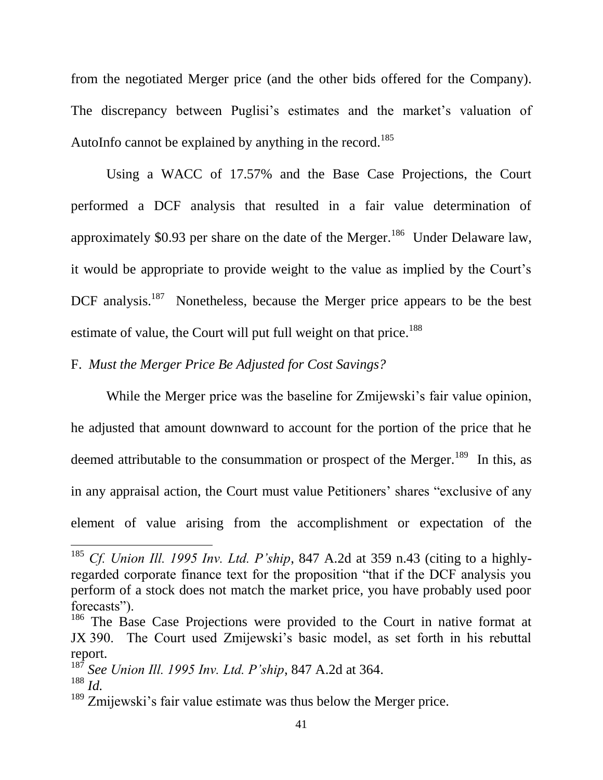from the negotiated Merger price (and the other bids offered for the Company). The discrepancy between Puglisi's estimates and the market's valuation of AutoInfo cannot be explained by anything in the record.<sup>185</sup>

Using a WACC of 17.57% and the Base Case Projections, the Court performed a DCF analysis that resulted in a fair value determination of approximately \$0.93 per share on the date of the Merger.<sup>186</sup> Under Delaware law, it would be appropriate to provide weight to the value as implied by the Court's DCF analysis.<sup>187</sup> Nonetheless, because the Merger price appears to be the best estimate of value, the Court will put full weight on that price.<sup>188</sup>

F. *Must the Merger Price Be Adjusted for Cost Savings?*

While the Merger price was the baseline for Zmijewski's fair value opinion, he adjusted that amount downward to account for the portion of the price that he deemed attributable to the consummation or prospect of the Merger.<sup>189</sup> In this, as in any appraisal action, the Court must value Petitioners' shares "exclusive of any element of value arising from the accomplishment or expectation of the

 $\overline{a}$ 

<sup>185</sup> *Cf. Union Ill. 1995 Inv. Ltd. P'ship*, 847 A.2d at 359 n.43 (citing to a highlyregarded corporate finance text for the proposition "that if the DCF analysis you perform of a stock does not match the market price, you have probably used poor forecasts").

<sup>&</sup>lt;sup>186</sup> The Base Case Projections were provided to the Court in native format at JX 390. The Court used Zmijewski's basic model, as set forth in his rebuttal report.

<sup>187</sup> *See Union Ill. 1995 Inv. Ltd. P'ship*, 847 A.2d at 364. <sup>188</sup> *Id.*

<sup>&</sup>lt;sup>189</sup> Zmijewski's fair value estimate was thus below the Merger price.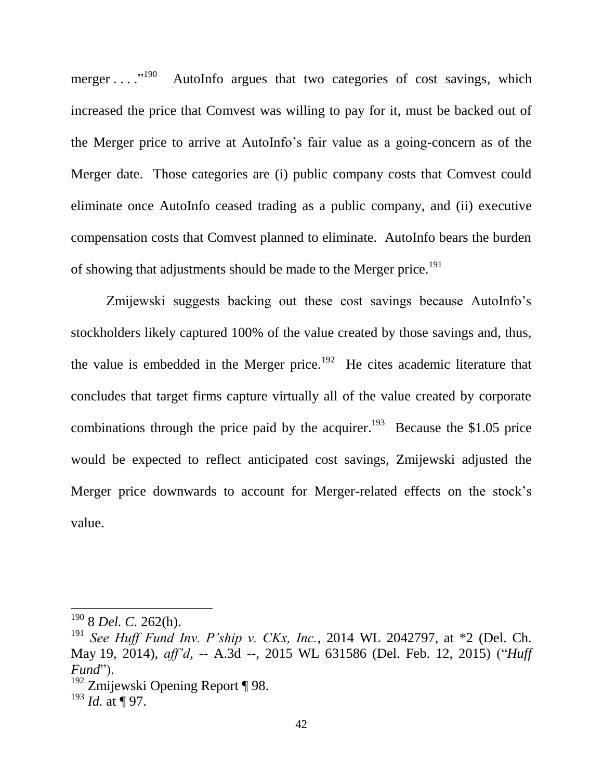merger ...."<sup>190</sup> AutoInfo argues that two categories of cost savings, which increased the price that Comvest was willing to pay for it, must be backed out of the Merger price to arrive at AutoInfo's fair value as a going-concern as of the Merger date. Those categories are (i) public company costs that Comvest could eliminate once AutoInfo ceased trading as a public company, and (ii) executive compensation costs that Comvest planned to eliminate. AutoInfo bears the burden of showing that adjustments should be made to the Merger price.<sup>191</sup>

Zmijewski suggests backing out these cost savings because AutoInfo's stockholders likely captured 100% of the value created by those savings and, thus, the value is embedded in the Merger price.<sup>192</sup> He cites academic literature that concludes that target firms capture virtually all of the value created by corporate combinations through the price paid by the acquirer.<sup>193</sup> Because the \$1.05 price would be expected to reflect anticipated cost savings, Zmijewski adjusted the Merger price downwards to account for Merger-related effects on the stock's value.

<sup>190</sup> 8 *Del. C.* 262(h).

<sup>191</sup> *See Huff Fund Inv. P'ship v. CKx, Inc.*, 2014 WL 2042797, at \*2 (Del. Ch. May 19, 2014), *aff'd*, -- A.3d --, 2015 WL 631586 (Del. Feb. 12, 2015) ("*Huff Fund*").

 $192$  Zmijewski Opening Report ¶ 98.

<sup>193</sup> *Id.* at ¶ 97.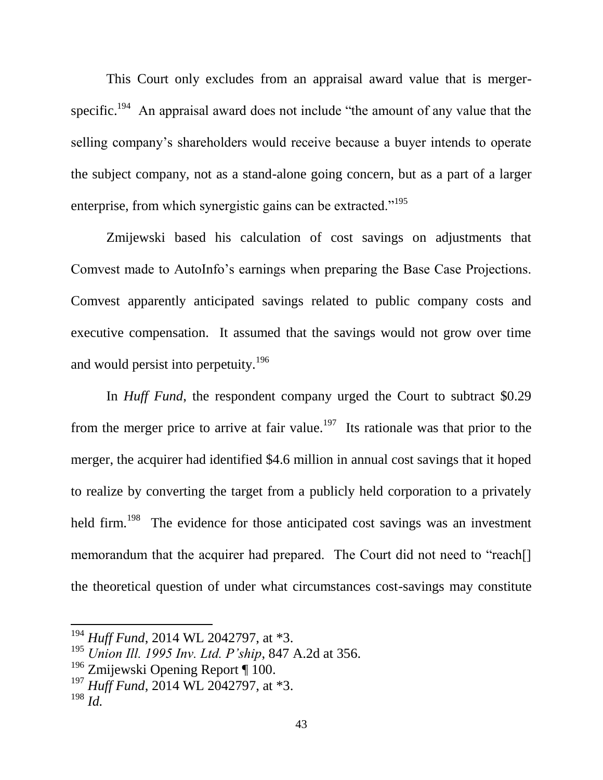This Court only excludes from an appraisal award value that is mergerspecific.<sup>194</sup> An appraisal award does not include "the amount of any value that the selling company's shareholders would receive because a buyer intends to operate the subject company, not as a stand-alone going concern, but as a part of a larger enterprise, from which synergistic gains can be extracted."<sup>195</sup>

Zmijewski based his calculation of cost savings on adjustments that Comvest made to AutoInfo's earnings when preparing the Base Case Projections. Comvest apparently anticipated savings related to public company costs and executive compensation. It assumed that the savings would not grow over time and would persist into perpetuity.<sup>196</sup>

In *Huff Fund*, the respondent company urged the Court to subtract \$0.29 from the merger price to arrive at fair value.<sup>197</sup> Its rationale was that prior to the merger, the acquirer had identified \$4.6 million in annual cost savings that it hoped to realize by converting the target from a publicly held corporation to a privately held firm.<sup>198</sup> The evidence for those anticipated cost savings was an investment memorandum that the acquirer had prepared. The Court did not need to "reach<sup>[]</sup> the theoretical question of under what circumstances cost-savings may constitute

<sup>194</sup> *Huff Fund*, 2014 WL 2042797, at \*3.

<sup>195</sup> *Union Ill. 1995 Inv. Ltd. P'ship*, 847 A.2d at 356.

 $196$  Zmijewski Opening Report ¶ 100.

<sup>197</sup> *Huff Fund*, 2014 WL 2042797, at \*3. <sup>198</sup> *Id.*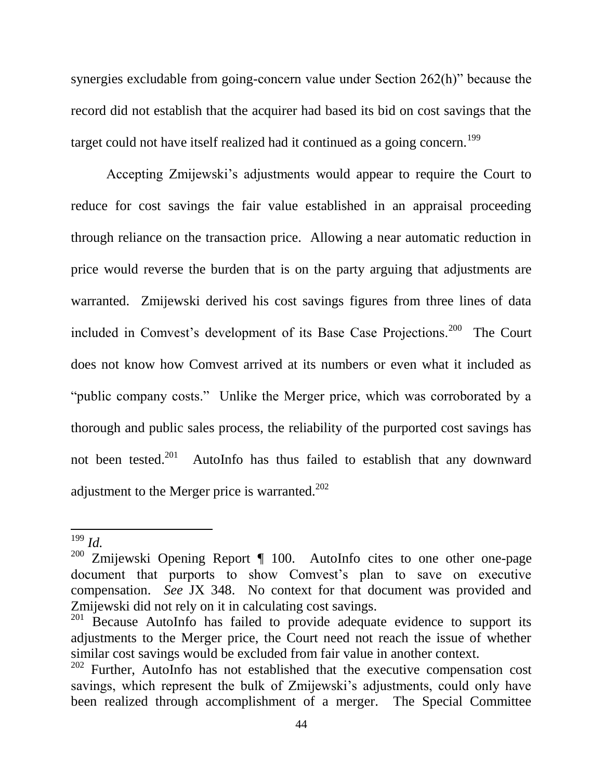synergies excludable from going-concern value under Section 262(h)" because the record did not establish that the acquirer had based its bid on cost savings that the target could not have itself realized had it continued as a going concern.<sup>199</sup>

Accepting Zmijewski's adjustments would appear to require the Court to reduce for cost savings the fair value established in an appraisal proceeding through reliance on the transaction price. Allowing a near automatic reduction in price would reverse the burden that is on the party arguing that adjustments are warranted. Zmijewski derived his cost savings figures from three lines of data included in Comvest's development of its Base Case Projections.<sup>200</sup> The Court does not know how Comvest arrived at its numbers or even what it included as "public company costs." Unlike the Merger price, which was corroborated by a thorough and public sales process, the reliability of the purported cost savings has not been tested.<sup>201</sup> AutoInfo has thus failed to establish that any downward adjustment to the Merger price is warranted. $202$ 

<sup>199</sup> *Id.*

<sup>&</sup>lt;sup>200</sup> Zmijewski Opening Report  $\P$  100. AutoInfo cites to one other one-page document that purports to show Comvest's plan to save on executive compensation. *See* JX 348. No context for that document was provided and Zmijewski did not rely on it in calculating cost savings.

Because AutoInfo has failed to provide adequate evidence to support its adjustments to the Merger price, the Court need not reach the issue of whether similar cost savings would be excluded from fair value in another context.

<sup>&</sup>lt;sup>202</sup> Further, AutoInfo has not established that the executive compensation cost savings, which represent the bulk of Zmijewski's adjustments, could only have been realized through accomplishment of a merger. The Special Committee